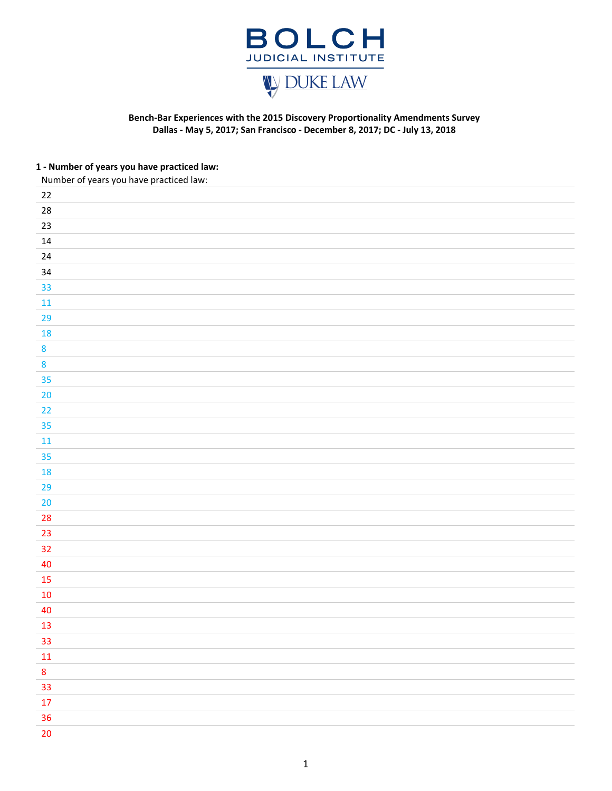

### **Bench‐Bar Experiences with the 2015 Discovery Proportionality Amendments Survey Dallas - May 5, 2017; San Francisco - December 8, 2017; DC - July 13, 2018**

### **1 ‐ Number of years you have practiced law:**

Number of years you have practiced law:

| $22\,$           |  |
|------------------|--|
| ${\bf 28}$       |  |
| $23\,$           |  |
| $14\,$           |  |
| 24               |  |
| 34               |  |
| 33               |  |
| $11\,$           |  |
| 29               |  |
| 18               |  |
| 8                |  |
| $\boldsymbol{8}$ |  |
| 35               |  |
| $20\,$           |  |
| 22               |  |
| 35               |  |
| ${\bf 11}$       |  |
| 35               |  |
| 18               |  |
| 29               |  |
| $20\,$           |  |
| $28\,$           |  |
| 23               |  |
| 32               |  |
| 40               |  |
| 15               |  |
| $10\,$           |  |
| 40               |  |
| $13\,$           |  |
| 33               |  |
| ${\bf 11}$       |  |
| $\bf{8}$         |  |
| 33               |  |
| $17\,$           |  |
| 36               |  |
| $20\degree$      |  |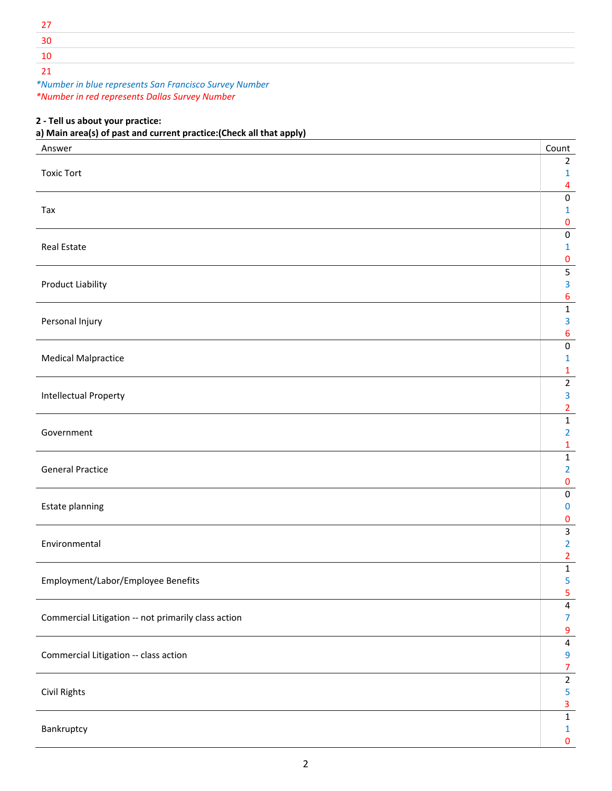| ٩r |  |  |
|----|--|--|
| '' |  |  |
|    |  |  |

*\*Number in blue represents San Francisco Survey Number \*Number in red represents Dallas Survey Number*

### **2 ‐ Tell us about your practice:**

## **a) Main area(s) of past and current practice:(Check all that apply)**

| Answer                                              | Count                          |
|-----------------------------------------------------|--------------------------------|
|                                                     | $\overline{2}$                 |
| <b>Toxic Tort</b>                                   | 1<br>$\overline{\mathbf{4}}$   |
|                                                     | $\pmb{0}$                      |
| Tax                                                 | 1                              |
|                                                     | $\pmb{0}$                      |
|                                                     | $\pmb{0}$                      |
| Real Estate                                         | $\mathbf{1}$                   |
|                                                     | 0                              |
| Product Liability                                   | $\overline{\mathbf{5}}$<br>3   |
|                                                     | 6                              |
|                                                     | $\mathbf 1$                    |
| Personal Injury                                     | 3                              |
|                                                     | 6                              |
|                                                     | $\pmb{0}$                      |
| <b>Medical Malpractice</b>                          | $\mathbf{1}$                   |
|                                                     | $\mathbf{1}$<br>$\overline{2}$ |
| <b>Intellectual Property</b>                        | $\overline{\mathbf{3}}$        |
|                                                     | $\overline{2}$                 |
|                                                     | $\mathbf 1$                    |
| Government                                          | $\overline{2}$                 |
|                                                     | $\mathbf{1}$                   |
|                                                     | $\mathbf 1$                    |
| <b>General Practice</b>                             | $\overline{2}$                 |
|                                                     | $\pmb{0}$<br>$\pmb{0}$         |
| Estate planning                                     | $\bf{0}$                       |
|                                                     | 0                              |
|                                                     | $\mathbf{3}$                   |
| Environmental                                       | $\overline{2}$                 |
|                                                     | $\overline{2}$                 |
|                                                     | $\mathbf 1$                    |
| Employment/Labor/Employee Benefits                  | 5<br>5                         |
|                                                     | $\overline{4}$                 |
| Commercial Litigation -- not primarily class action | $\overline{7}$                 |
|                                                     | $\boldsymbol{9}$               |
|                                                     | $\overline{\mathbf{4}}$        |
| Commercial Litigation -- class action               | $\overline{9}$                 |
|                                                     | $\overline{7}$                 |
| Civil Rights                                        | $\overline{2}$<br>5            |
|                                                     | $\overline{\mathbf{3}}$        |
|                                                     | $\mathbf 1$                    |
| Bankruptcy                                          | $\mathbf 1$                    |
|                                                     | $\pmb{0}$                      |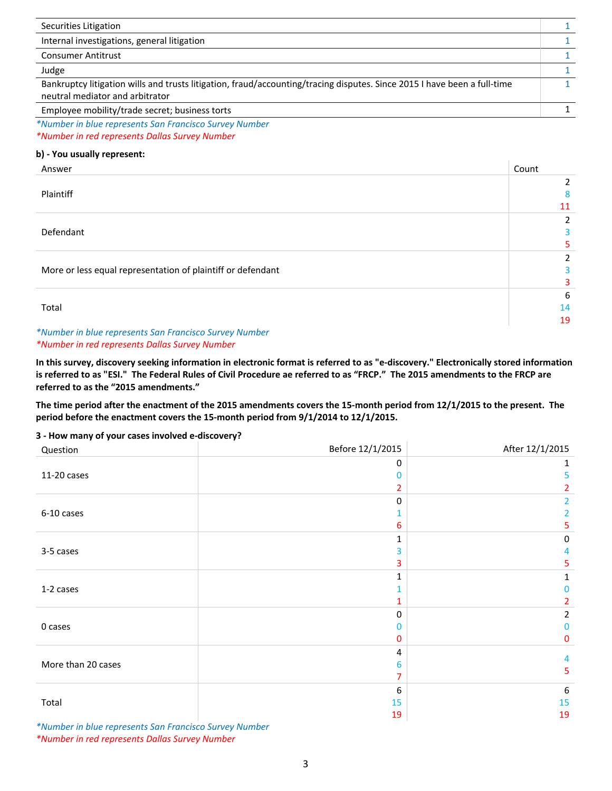| Securities Litigation                                                                                                                                       |  |
|-------------------------------------------------------------------------------------------------------------------------------------------------------------|--|
| Internal investigations, general litigation                                                                                                                 |  |
| <b>Consumer Antitrust</b>                                                                                                                                   |  |
| Judge                                                                                                                                                       |  |
| Bankruptcy litigation wills and trusts litigation, fraud/accounting/tracing disputes. Since 2015 I have been a full-time<br>neutral mediator and arbitrator |  |
| Employee mobility/trade secret; business torts                                                                                                              |  |

*\*Number in blue represents San Francisco Survey Number \*Number in red represents Dallas Survey Number*

### **b) ‐ You usually represent:**

| Answer                                                      | Count |
|-------------------------------------------------------------|-------|
|                                                             | 2     |
| Plaintiff                                                   | 8     |
|                                                             | 11    |
|                                                             | 2     |
| Defendant                                                   | 3     |
|                                                             |       |
|                                                             | 2     |
| More or less equal representation of plaintiff or defendant |       |
|                                                             | 3     |
|                                                             | 6     |
| Total                                                       | 14    |
|                                                             | 19    |
| *Number in blue represents San Francisco Survey Number      |       |

#### *\*Number in red represents Dallas Survey Number*

**In this survey, discovery seeking information in electronic format is referred to as "e‐discovery." Electronically stored information is referred to as "ESI." The Federal Rules of Civil Procedure ae referred to as "FRCP." The 2015 amendments to the FRCP are referred to as the "2015 amendments."** 

**The time period after the enactment of the 2015 amendments covers the 15‐month period from 12/1/2015 to the present. The period before the enactment covers the 15‐month period from 9/1/2014 to 12/1/2015.**

#### **3 ‐ How many of your cases involved e‐discovery?**

| Question           | Before 12/1/2015 | After 12/1/2015 |
|--------------------|------------------|-----------------|
|                    | 0                | 1               |
| 11-20 cases        | n                | 5               |
|                    | 2                | 2.              |
|                    | $\Omega$         | $\mathcal{P}$   |
| 6-10 cases         |                  | 2.              |
|                    | 6                | 5.              |
|                    | 1                | 0               |
| 3-5 cases          | 3                | 4               |
|                    | 3                | 5.              |
|                    | 1                | 1               |
| 1-2 cases          |                  | 0               |
|                    |                  | 2               |
|                    | $\mathbf{0}$     | $\overline{2}$  |
| 0 cases            | O                | 0               |
|                    | 0                | $\mathbf{0}$    |
| More than 20 cases | 4                |                 |
|                    | 6                | 4<br>5          |
|                    | 7                |                 |
| Total              | 6                | 6               |
|                    | 15               | 15              |
|                    | 19               | 19              |

*\*Number in blue represents San Francisco Survey Number \*Number in red represents Dallas Survey Number*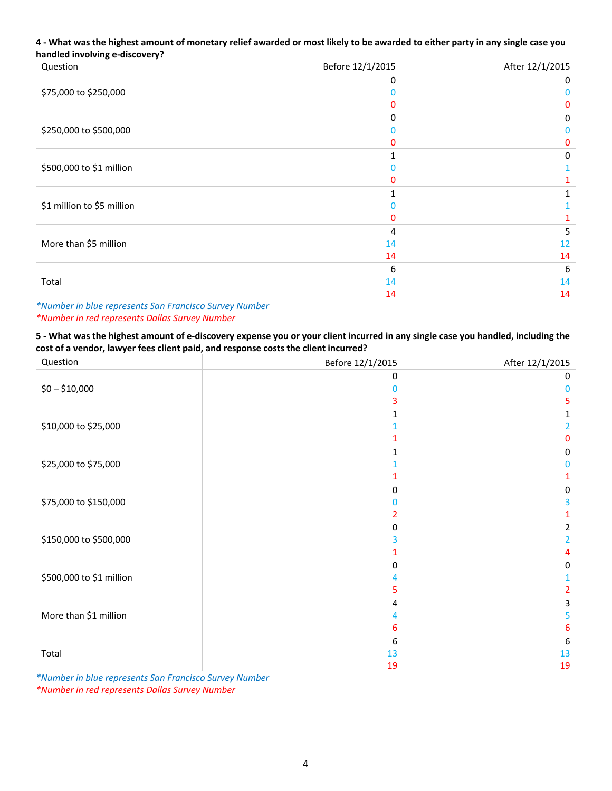### **4 ‐ What was the highest amount of monetary relief awarded or most likely to be awarded to either party in any single case you handled involving e‐discovery?**

| Question                   | Before 12/1/2015 | After 12/1/2015 |
|----------------------------|------------------|-----------------|
|                            | $\Omega$         | 0               |
| \$75,000 to \$250,000      | O                | n               |
|                            | 0                | 0               |
|                            | $\Omega$         | 0               |
| \$250,000 to \$500,000     | n                | n               |
|                            | 0                | 0               |
|                            |                  | 0               |
| \$500,000 to \$1 million   | Ω                |                 |
|                            | 0                |                 |
|                            |                  |                 |
| \$1 million to \$5 million | n                |                 |
|                            | 0                |                 |
|                            | 4                | 5               |
| More than \$5 million      | 14               | 12              |
|                            | 14               | 14              |
|                            | 6                | 6               |
| Total                      | 14               | 14              |
|                            | 14               | 14              |

*\*Number in blue represents San Francisco Survey Number \*Number in red represents Dallas Survey Number*

**5 ‐ What was the highest amount of e‐discovery expense you or your client incurred in any single case you handled, including the cost of a vendor, lawyer fees client paid, and response costs the client incurred?**

| Question                                                                                            | Before 12/1/2015    | After 12/1/2015 |
|-----------------------------------------------------------------------------------------------------|---------------------|-----------------|
|                                                                                                     | 0                   | 0               |
| $$0 - $10,000$                                                                                      |                     | Ω               |
|                                                                                                     | 3                   | 5               |
|                                                                                                     |                     |                 |
| \$10,000 to \$25,000                                                                                |                     |                 |
|                                                                                                     |                     | 0               |
|                                                                                                     |                     | 0               |
| \$25,000 to \$75,000                                                                                |                     | Ω               |
|                                                                                                     |                     |                 |
|                                                                                                     | 0                   | 0               |
| \$75,000 to \$150,000                                                                               | Ω                   | 3               |
|                                                                                                     | 2                   |                 |
|                                                                                                     | $\Omega$            | 2               |
| \$150,000 to \$500,000                                                                              | 3                   |                 |
|                                                                                                     |                     |                 |
|                                                                                                     | 0                   | 0               |
| \$500,000 to \$1 million                                                                            |                     |                 |
|                                                                                                     | 5                   | 2               |
|                                                                                                     | 4                   | 3               |
| More than \$1 million                                                                               | 4                   | 5               |
|                                                                                                     | 6                   | 6               |
|                                                                                                     | 6                   | 6               |
| Total                                                                                               | 13                  | 13              |
| $\Delta$ and $\Delta$ and $\Delta$ and $\Delta$ and $\Delta$ and $\Delta$ and $\Delta$ and $\Delta$ | 19<br>$\sim$ $\sim$ | 19              |

*\*Number in blue represents San Francisco Survey Number \*Number in red represents Dallas Survey Number*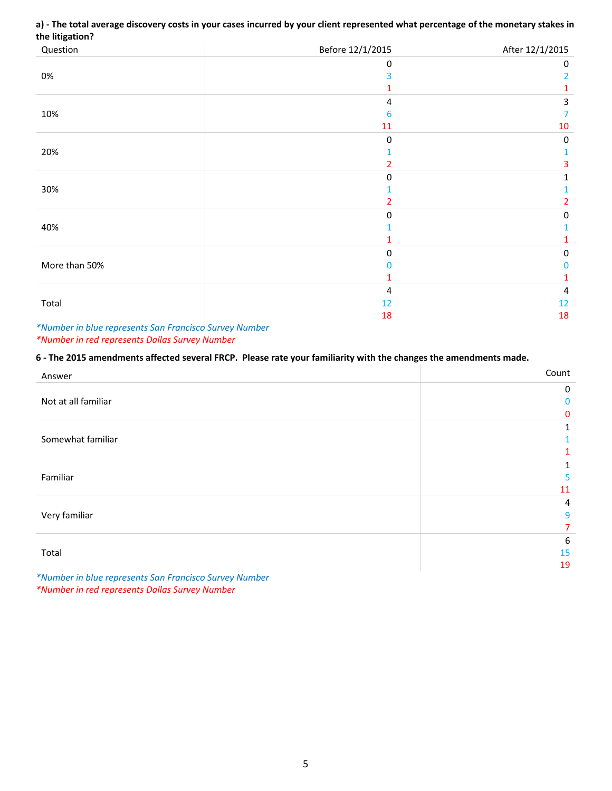### **a) ‐ The total average discovery costs in your cases incurred by your client represented what percentage of the monetary stakes in the litigation?**

| Question      | Before 12/1/2015        | After 12/1/2015 |
|---------------|-------------------------|-----------------|
|               | $\mathbf 0$             | 0               |
| $0\%$         | 3                       | 2               |
|               |                         | 1               |
|               | 4                       | 3               |
| 10%           | 6                       | 7               |
|               | $11\,$                  | $10\,$          |
|               | $\mathbf 0$             | $\pmb{0}$       |
| 20%           |                         |                 |
|               | 2                       | 3               |
|               | $\mathbf 0$             | 1               |
| 30%           |                         |                 |
|               | 2                       | 2               |
|               | $\Omega$                | 0               |
| 40%           |                         |                 |
|               |                         |                 |
|               | $\mathbf 0$             | $\pmb{0}$       |
| More than 50% | 0                       | 0               |
|               |                         | 1               |
|               | $\overline{\mathbf{4}}$ | 4               |
| Total         | 12                      | 12              |
|               | 18                      | 18              |

*\*Number in blue represents San Francisco Survey Number \*Number in red represents Dallas Survey Number* 

### **6 ‐ The 2015 amendments affected several FRCP. Please rate your familiarity with the changes the amendments made.**

| Answer                                                               | Count        |
|----------------------------------------------------------------------|--------------|
|                                                                      | 0            |
| Not at all familiar                                                  | $\mathbf{0}$ |
|                                                                      | $\mathbf{0}$ |
|                                                                      | 1            |
| Somewhat familiar                                                    |              |
|                                                                      |              |
|                                                                      |              |
| Familiar                                                             | 5            |
|                                                                      | 11           |
|                                                                      | 4            |
| Very familiar                                                        | 9            |
|                                                                      | 7            |
|                                                                      | 6            |
| Total                                                                | 15           |
|                                                                      | 19           |
| <b>SALUDE FOR LIGHT CONTRACT CONTRACT CONTRACT CONTRACT ALGORITM</b> |              |

*\*Number in blue represents San Francisco Survey Number \*Number in red represents Dallas Survey Number*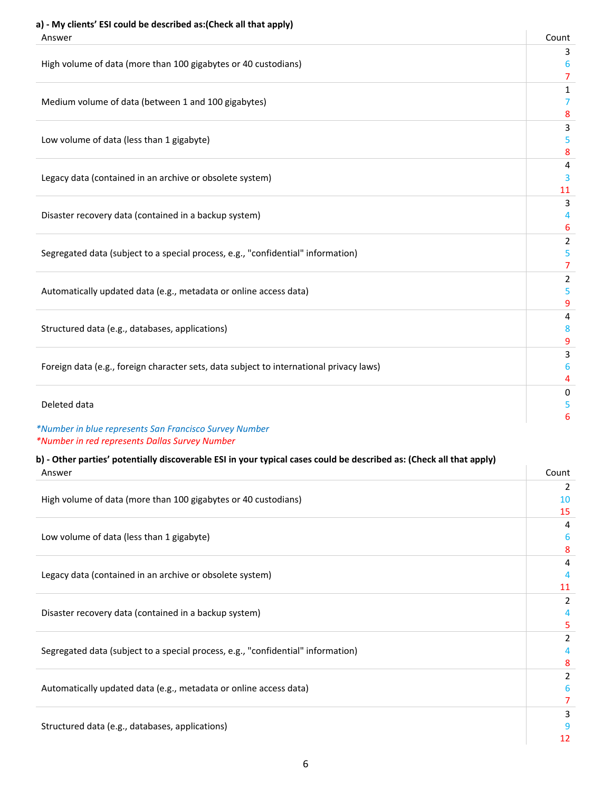# **a) ‐ My clients' ESI could be described as:(Check all that apply)**

| Answer                                                                                  | Count          |
|-----------------------------------------------------------------------------------------|----------------|
| High volume of data (more than 100 gigabytes or 40 custodians)                          | 3<br>6         |
|                                                                                         | $\overline{7}$ |
|                                                                                         | 1              |
| Medium volume of data (between 1 and 100 gigabytes)                                     | 7              |
|                                                                                         | 8              |
|                                                                                         | 3              |
| Low volume of data (less than 1 gigabyte)                                               | 5              |
|                                                                                         | 8              |
|                                                                                         | 4              |
| Legacy data (contained in an archive or obsolete system)                                | 3<br>11        |
|                                                                                         | 3              |
| Disaster recovery data (contained in a backup system)                                   | 4              |
|                                                                                         | 6              |
|                                                                                         | 2              |
| Segregated data (subject to a special process, e.g., "confidential" information)        | 5              |
|                                                                                         | $\overline{7}$ |
|                                                                                         | 2              |
| Automatically updated data (e.g., metadata or online access data)                       | 5              |
|                                                                                         | 9              |
|                                                                                         | 4              |
| Structured data (e.g., databases, applications)                                         | 8              |
|                                                                                         | 9              |
|                                                                                         | 3              |
| Foreign data (e.g., foreign character sets, data subject to international privacy laws) | 6<br>4         |
|                                                                                         | 0              |
| Deleted data                                                                            | 5              |
|                                                                                         | 6              |
| *Number in blue represents San Francisco Survey Number                                  |                |

*\*Number in red represents Dallas Survey Number* 

# **b) ‐ Other parties' potentially discoverable ESI in your typical cases could be described as: (Check all that apply)**

| Answer                                                                           | Count         |
|----------------------------------------------------------------------------------|---------------|
|                                                                                  | 2             |
| High volume of data (more than 100 gigabytes or 40 custodians)                   | 10            |
|                                                                                  | 15            |
|                                                                                  | 4             |
| Low volume of data (less than 1 gigabyte)                                        | 6             |
|                                                                                  | 8             |
|                                                                                  | 4             |
| Legacy data (contained in an archive or obsolete system)                         |               |
|                                                                                  | 11            |
|                                                                                  | $\mathcal{P}$ |
| Disaster recovery data (contained in a backup system)                            |               |
|                                                                                  | 5             |
|                                                                                  |               |
| Segregated data (subject to a special process, e.g., "confidential" information) |               |
|                                                                                  | 8             |
|                                                                                  | 2             |
| Automatically updated data (e.g., metadata or online access data)                | 6             |
|                                                                                  |               |
|                                                                                  | 3             |
| Structured data (e.g., databases, applications)                                  |               |
|                                                                                  | 12            |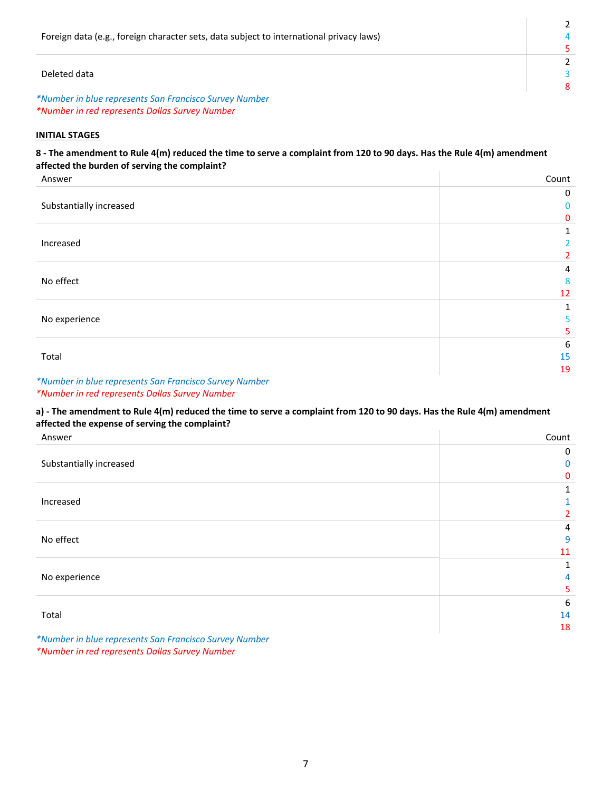| Foreign data (e.g., foreign character sets, data subject to international privacy laws) |  |
|-----------------------------------------------------------------------------------------|--|
|                                                                                         |  |
|                                                                                         |  |
| Deleted data                                                                            |  |
|                                                                                         |  |
| *Number in blue represents San Francisco Survey Number                                  |  |

 $\mathbb{L}$ 

*\*Number in red represents Dallas Survey Number* 

### **INITIAL STAGES**

### **8 ‐ The amendment to Rule 4(m) reduced the time to serve a complaint from 120 to 90 days. Has the Rule 4(m) amendment affected the burden of serving the complaint?**

| Answer                                                 | Count          |
|--------------------------------------------------------|----------------|
|                                                        | 0              |
| Substantially increased                                | 0              |
|                                                        | $\mathbf{0}$   |
|                                                        | 1              |
| Increased                                              | 2              |
|                                                        | $\overline{2}$ |
|                                                        | 4              |
| No effect                                              | 8              |
|                                                        | 12             |
|                                                        |                |
| No experience                                          | 5              |
|                                                        | 5              |
|                                                        | 6              |
| Total                                                  | 15             |
|                                                        | 19             |
| *Number in blue represents San Francisco Survey Number |                |

## *\*Number in red represents Dallas Survey Number*

### **a) ‐ The amendment to Rule 4(m) reduced the time to serve a complaint from 120 to 90 days. Has the Rule 4(m) amendment affected the expense of serving the complaint?**

| Answer                                                 | Count          |
|--------------------------------------------------------|----------------|
|                                                        | 0              |
| Substantially increased                                | 0              |
|                                                        | $\mathbf{0}$   |
|                                                        |                |
| Increased                                              |                |
|                                                        | $\overline{2}$ |
|                                                        | 4              |
| No effect                                              | 9              |
|                                                        | 11             |
|                                                        |                |
| No experience                                          | 4              |
|                                                        | 5.             |
|                                                        | 6              |
| Total                                                  | 14             |
|                                                        | 18             |
| *Number in blue represents San Francisco Survey Number |                |

*\*Number in red represents Dallas Survey Number*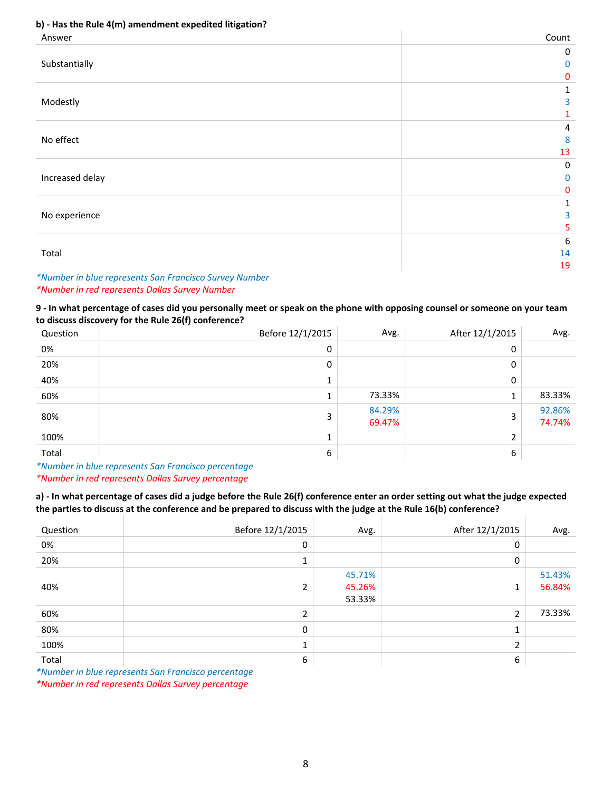### **b) ‐ Has the Rule 4(m) amendment expedited litigation?**

| Answer          | Count       |
|-----------------|-------------|
|                 | $\mathbf 0$ |
| Substantially   | $\mathbf 0$ |
|                 | $\mathbf 0$ |
|                 | 1           |
| Modestly        | 3           |
|                 | 1           |
|                 | 4           |
| No effect       | 8           |
|                 | 13          |
|                 | $\mathbf 0$ |
| Increased delay | $\mathbf 0$ |
|                 | $\pmb{0}$   |
|                 | 1           |
| No experience   | 3           |
|                 | 5           |
|                 | 6           |
| Total           | 14          |
|                 | 19          |

### *\*Number in blue represents San Francisco Survey Number \*Number in red represents Dallas Survey Number*

**9 ‐ In what percentage of cases did you personally meet or speak on the phone with opposing counsel or someone on your team to discuss discovery for the Rule 26(f) conference?**

| Question                                                                                                                 | Before 12/1/2015 | Avg.             | After 12/1/2015 | Avg.             |
|--------------------------------------------------------------------------------------------------------------------------|------------------|------------------|-----------------|------------------|
| 0%                                                                                                                       | 0                |                  | 0               |                  |
| 20%                                                                                                                      | 0                |                  | 0               |                  |
| 40%                                                                                                                      |                  |                  | 0               |                  |
| 60%                                                                                                                      |                  | 73.33%           | $\mathbf{1}$    | 83.33%           |
| 80%                                                                                                                      | 3                | 84.29%<br>69.47% | 3               | 92.86%<br>74.74% |
| 100%                                                                                                                     |                  |                  | າ               |                  |
| Total<br>the contract of the contract of the contract of the contract of the contract of the contract of the contract of | 6                |                  | 6               |                  |

*\*Number in blue represents San Francisco percentage \*Number in red represents Dallas Survey percentage* 

**a) ‐ In what percentage of cases did a judge before the Rule 26(f) conference enter an order setting out what the judge expected the parties to discuss at the conference and be prepared to discuss with the judge at the Rule 16(b) conference?**

| Question | Before 12/1/2015 | Avg.                       | After 12/1/2015 | Avg.             |
|----------|------------------|----------------------------|-----------------|------------------|
| 0%       | 0                |                            | 0               |                  |
| 20%      |                  |                            | 0               |                  |
| 40%      |                  | 45.71%<br>45.26%<br>53.33% | 1               | 51.43%<br>56.84% |
| 60%      |                  |                            | 2               | 73.33%           |
| 80%      | 0                |                            | 1<br>J.         |                  |
| 100%     |                  |                            | ำ<br>∠          |                  |
| Total    | 6                |                            | 6               |                  |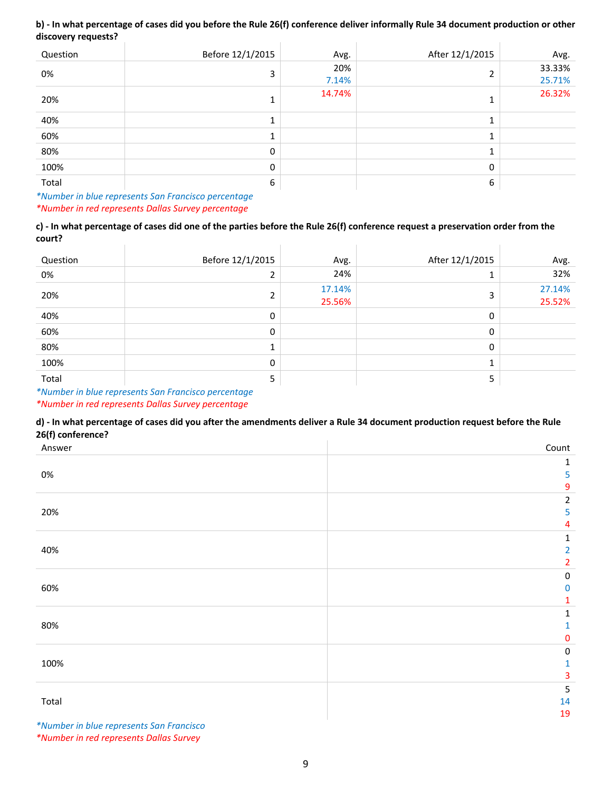#### **b) ‐ In what percentage of cases did you before the Rule 26(f) conference deliver informally Rule 34 document production or other discovery requests?**  $\overline{1}$

| Question | Before 12/1/2015 | Avg.         | After 12/1/2015 | Avg.             |
|----------|------------------|--------------|-----------------|------------------|
| 0%       | 3                | 20%<br>7.14% | C.              | 33.33%<br>25.71% |
| 20%      |                  | 14.74%       |                 | 26.32%           |
| 40%      |                  |              |                 |                  |
| 60%      | Ŧ.               |              |                 |                  |
| 80%      | 0                |              |                 |                  |
| 100%     | 0                |              | 0               |                  |
| Total    | 6                |              | 6               |                  |

*\*Number in blue represents San Francisco percentage \*Number in red represents Dallas Survey percentage*

### **c) ‐ In what percentage of cases did one of the parties before the Rule 26(f) conference request a preservation order from the court?**

| Question | Before 12/1/2015 | Avg.             | After 12/1/2015 | Avg.             |
|----------|------------------|------------------|-----------------|------------------|
| 0%       |                  | 24%              |                 | 32%              |
| 20%      |                  | 17.14%<br>25.56% | 3               | 27.14%<br>25.52% |
| 40%      | 0                |                  | 0               |                  |
| 60%      | $\mathbf{0}$     |                  | 0               |                  |
| 80%      |                  |                  | 0               |                  |
| 100%     | 0                |                  |                 |                  |
| Total    | 5                |                  | 5               |                  |

#### *\*Number in blue represents San Francisco percentage*

### *\*Number in red represents Dallas Survey percentage*

### **d) ‐ In what percentage of cases did you after the amendments deliver a Rule 34 document production request before the Rule 26(f) conference?**

| $\sim$ $\sim$<br>Answer | Count                   |
|-------------------------|-------------------------|
|                         | 1                       |
| 0%                      | 5                       |
|                         | 9                       |
|                         | $\overline{\mathbf{c}}$ |
| 20%                     | 5                       |
|                         | 4                       |
|                         | 1                       |
| 40%                     | 2                       |
|                         | 2                       |
|                         | $\pmb{0}$               |
| 60%                     | $\pmb{0}$               |
|                         | 1                       |
|                         | 1                       |
| 80%                     | 1                       |
|                         | 0                       |
|                         | $\pmb{0}$               |
| 100%                    | 1                       |
|                         | 3                       |
|                         | $\mathsf S$             |
| Total                   | 14                      |
|                         | 19                      |

*\*Number in blue represents San Francisco \*Number in red represents Dallas Survey*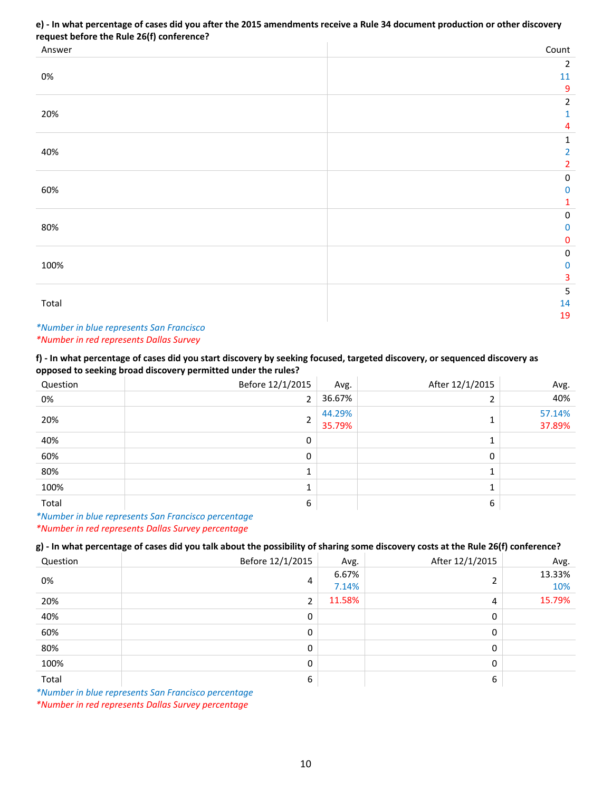### **e) ‐ In what percentage of cases did you after the 2015 amendments receive a Rule 34 document production or other discovery request before the Rule 26(f) conference?**

| Answer | Count          |
|--------|----------------|
|        | $\overline{2}$ |
| 0%     | $11\,$         |
|        | $\overline{9}$ |
|        | $\overline{2}$ |
| 20%    | 1              |
|        | 4              |
|        | 1              |
| 40%    | $\overline{2}$ |
|        | 2              |
|        | $\pmb{0}$      |
| 60%    | $\pmb{0}$      |
|        | 1              |
|        | $\pmb{0}$      |
| 80%    | $\pmb{0}$      |
|        | $\pmb{0}$      |
|        | $\pmb{0}$      |
| 100%   | $\pmb{0}$      |
|        | 3              |
|        | $\sf 5$        |
| Total  | 14             |
|        | 19             |

### *\*Number in blue represents San Francisco \*Number in red represents Dallas Survey*

### **f) ‐ In what percentage of cases did you start discovery by seeking focused, targeted discovery, or sequenced discovery as opposed to seeking broad discovery permitted under the rules?**

| Question | Before 12/1/2015 | Avg.             | After 12/1/2015 | Avg.             |
|----------|------------------|------------------|-----------------|------------------|
| 0%       | 2                | 36.67%           |                 | 40%              |
| 20%      | 2                | 44.29%<br>35.79% |                 | 57.14%<br>37.89% |
| 40%      | 0                |                  |                 |                  |
| 60%      | 0                |                  | 0               |                  |
| 80%      |                  |                  |                 |                  |
| 100%     | $\mathbf{1}$     |                  |                 |                  |
| Total    | 6                |                  | 6               |                  |

*\*Number in blue represents San Francisco percentage \*Number in red represents Dallas Survey percentage*

### **g) ‐ In what percentage of cases did you talk about the possibility of sharing some discovery costs at the Rule 26(f) conference?**

| Question | Before 12/1/2015 | Avg.           | After 12/1/2015 | Avg.          |
|----------|------------------|----------------|-----------------|---------------|
| 0%       | 4                | 6.67%<br>7.14% |                 | 13.33%<br>10% |
| 20%      | 2                | 11.58%         | 4               | 15.79%        |
| 40%      | 0                |                | 0               |               |
| 60%      | 0                |                | 0               |               |
| 80%      | 0                |                | 0               |               |
| 100%     | 0                |                | 0               |               |
| Total    | 6                |                | 6               |               |

*\*Number in blue represents San Francisco percentage*

*\*Number in red represents Dallas Survey percentage*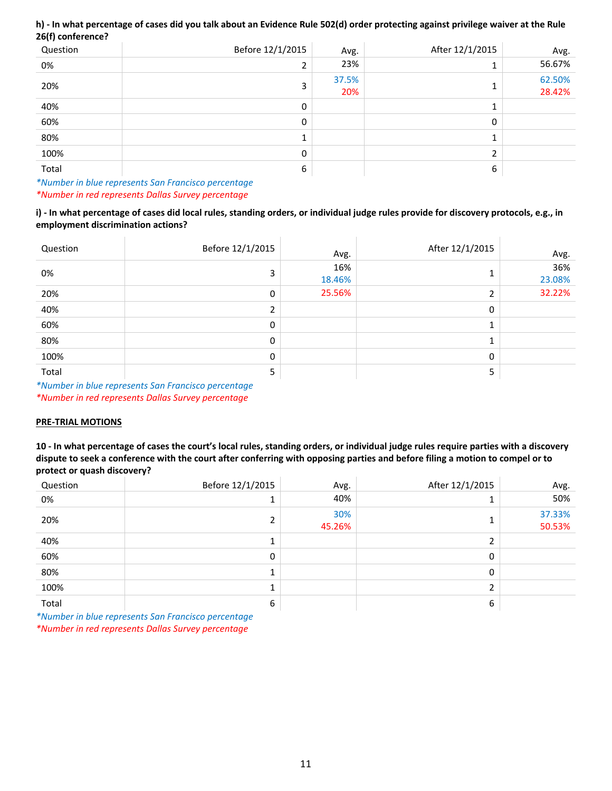### **h) ‐ In what percentage of cases did you talk about an Evidence Rule 502(d) order protecting against privilege waiver at the Rule 26(f) conference?**

| Question | Before 12/1/2015 | Avg.         | After 12/1/2015 | Avg.             |
|----------|------------------|--------------|-----------------|------------------|
| 0%       | h                | 23%          |                 | 56.67%           |
| 20%      | ∍                | 37.5%<br>20% |                 | 62.50%<br>28.42% |
| 40%      | 0                |              |                 |                  |
| 60%      | 0                |              | 0               |                  |
| 80%      |                  |              |                 |                  |
| 100%     | 0                |              | h               |                  |
| Total    | 6                |              | 6               |                  |

### *\*Number in blue represents San Francisco percentage \*Number in red represents Dallas Survey percentage*

### **i) ‐ In what percentage of cases did local rules, standing orders, or individual judge rules provide for discovery protocols, e.g., in employment discrimination actions?**

| Question | Before 12/1/2015 | Avg.          | After 12/1/2015 | Avg.          |
|----------|------------------|---------------|-----------------|---------------|
| 0%       | 3                | 16%<br>18.46% |                 | 36%<br>23.08% |
| 20%      | 0                | 25.56%        | n.              | 32.22%        |
| 40%      |                  |               | 0               |               |
| 60%      | 0                |               |                 |               |
| 80%      | 0                |               |                 |               |
| 100%     | 0                |               | 0               |               |
| Total    | כ                |               | 5               |               |

*\*Number in blue represents San Francisco percentage \*Number in red represents Dallas Survey percentage* 

### **PRE‐TRIAL MOTIONS**

**10 ‐ In what percentage of cases the court's local rules, standing orders, or individual judge rules require parties with a discovery dispute to seek a conference with the court after conferring with opposing parties and before filing a motion to compel or to protect or quash discovery?**

| Question | Before 12/1/2015 | Avg.          | After 12/1/2015 | Avg.             |
|----------|------------------|---------------|-----------------|------------------|
| 0%       |                  | 40%           |                 | 50%              |
| 20%      |                  | 30%<br>45.26% |                 | 37.33%<br>50.53% |
| 40%      |                  |               |                 |                  |
| 60%      | 0                |               | 0               |                  |
| 80%      |                  |               | 0               |                  |
| 100%     |                  |               | ำ               |                  |
| Total    | 6                |               | 6               |                  |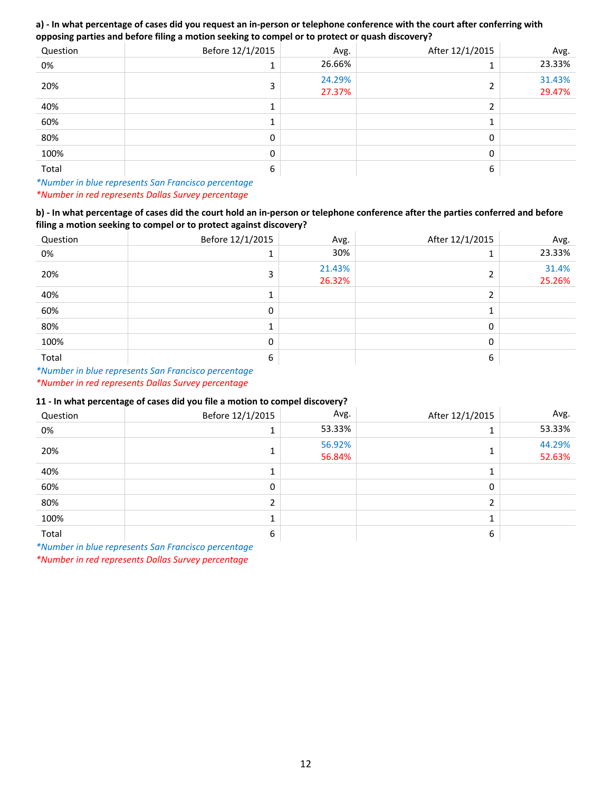### **a) ‐ In what percentage of cases did you request an in‐person or telephone conference with the court after conferring with opposing parties and before filing a motion seeking to compel or to protect or quash discovery?**

| Question | Before 12/1/2015 | Avg.             | After 12/1/2015 | Avg.             |
|----------|------------------|------------------|-----------------|------------------|
| 0%       |                  | 26.66%           |                 | 23.33%           |
| 20%      |                  | 24.29%<br>27.37% | h               | 31.43%<br>29.47% |
| 40%      |                  |                  | C.              |                  |
| 60%      |                  |                  |                 |                  |
| 80%      | 0                |                  | 0               |                  |
| 100%     | 0                |                  | 0               |                  |
| Total    | 6                |                  | 6               |                  |

*\*Number in blue represents San Francisco percentage \*Number in red represents Dallas Survey percentage*

### **b) ‐ In what percentage of cases did the court hold an in‐person or telephone conference after the parties conferred and before filing a motion seeking to compel or to protect against discovery?**

| Question | Before 12/1/2015 | Avg.             | After 12/1/2015 | Avg.            |
|----------|------------------|------------------|-----------------|-----------------|
| 0%       | и                | 30%              |                 | 23.33%          |
| 20%      | 3                | 21.43%<br>26.32% |                 | 31.4%<br>25.26% |
| 40%      |                  |                  |                 |                 |
| 60%      | 0                |                  |                 |                 |
| 80%      | и                |                  | 0               |                 |
| 100%     | 0                |                  | 0               |                 |
| Total    | 6                |                  | 6               |                 |

*\*Number in blue represents San Francisco percentage \*Number in red represents Dallas Survey percentage*

### **11 ‐ In what percentage of cases did you file a motion to compel discovery?**

| Question | Before 12/1/2015 | Avg.             | After 12/1/2015 | Avg.             |
|----------|------------------|------------------|-----------------|------------------|
| 0%       |                  | 53.33%           |                 | 53.33%           |
| 20%      |                  | 56.92%<br>56.84% |                 | 44.29%<br>52.63% |
| 40%      |                  |                  |                 |                  |
| 60%      | 0                |                  | 0               |                  |
| 80%      |                  |                  | n.              |                  |
| 100%     |                  |                  |                 |                  |
| Total    | 6                |                  | 6               |                  |

*\*Number in blue represents San Francisco percentage*

*\*Number in red represents Dallas Survey percentage*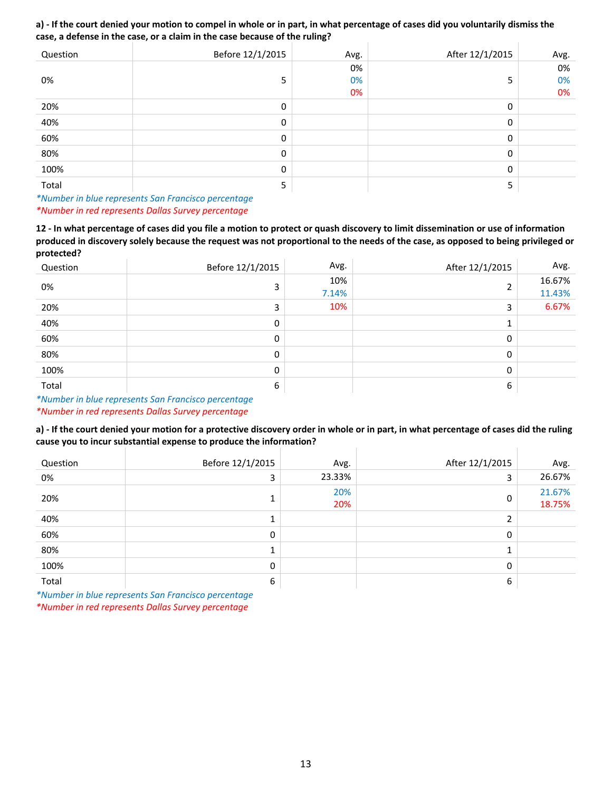#### **a) ‐ If the court denied your motion to compel in whole or in part, in what percentage of cases did you voluntarily dismiss the case, a defense in the case, or a claim in the case because of the ruling?**  $\mathbb{R}^2$  $\mathbf{I}$

| Question | Before 12/1/2015 | Avg. | After 12/1/2015 | Avg. |
|----------|------------------|------|-----------------|------|
|          |                  | 0%   |                 | 0%   |
| 0%       | 5                | 0%   | 5               | 0%   |
|          |                  | 0%   |                 | 0%   |
| 20%      | 0                |      | 0               |      |
| 40%      | 0                |      | 0               |      |
| 60%      | 0                |      | 0               |      |
| 80%      | 0                |      | 0               |      |
| 100%     | 0                |      | 0               |      |
| Total    | 5                |      | 5               |      |

*\*Number in blue represents San Francisco percentage \*Number in red represents Dallas Survey percentage*

**12 ‐ In what percentage of cases did you file a motion to protect or quash discovery to limit dissemination or use of information produced in discovery solely because the request was not proportional to the needs of the case, as opposed to being privileged or protected?**

| Question | Before 12/1/2015 | Avg.         | After 12/1/2015 | Avg.             |
|----------|------------------|--------------|-----------------|------------------|
| 0%       | 3                | 10%<br>7.14% | ∍               | 16.67%<br>11.43% |
| 20%      | 3                | 10%          | 3               | 6.67%            |
| 40%      | 0                |              |                 |                  |
| 60%      | 0                |              | 0               |                  |
| 80%      | 0                |              | 0               |                  |
| 100%     | 0                |              | 0               |                  |
| Total    | 6                |              | 6               |                  |

*\*Number in blue represents San Francisco percentage*

*\*Number in red represents Dallas Survey percentage*

### **a) ‐ If the court denied your motion for a protective discovery order in whole or in part, in what percentage of cases did the ruling cause you to incur substantial expense to produce the information?**

| Question | Before 12/1/2015 | Avg.       | After 12/1/2015 | Avg.             |
|----------|------------------|------------|-----------------|------------------|
| 0%       | 3                | 23.33%     | 3               | 26.67%           |
| 20%      |                  | 20%<br>20% |                 | 21.67%<br>18.75% |
| 40%      |                  |            |                 |                  |
| 60%      | 0                |            | 0               |                  |
| 80%      |                  |            |                 |                  |
| 100%     | 0                |            | 0               |                  |
| Total    | 6                |            | 6               |                  |

*\*Number in blue represents San Francisco percentage*

*\*Number in red represents Dallas Survey percentage*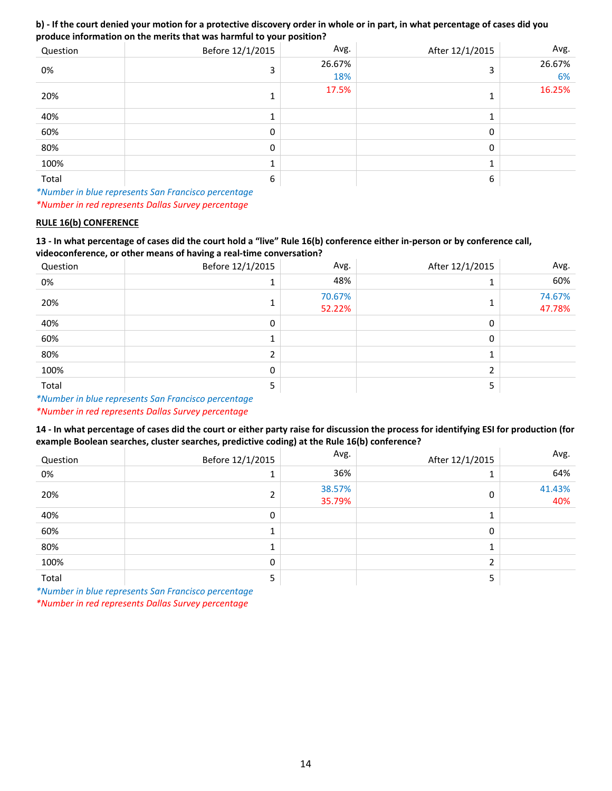### **b) ‐ If the court denied your motion for a protective discovery order in whole or in part, in what percentage of cases did you produce information on the merits that was harmful to your position?**

| Question | Before 12/1/2015 | Avg.          | After 12/1/2015 | Avg.         |
|----------|------------------|---------------|-----------------|--------------|
| 0%       |                  | 26.67%<br>18% | 3               | 26.67%<br>6% |
| 20%      |                  | 17.5%         |                 | 16.25%       |
| 40%      |                  |               |                 |              |
| 60%      | 0                |               | $\mathbf{0}$    |              |
| 80%      | $\Omega$         |               | $\mathbf{0}$    |              |
| 100%     |                  |               |                 |              |
| Total    | 6                |               | 6               |              |

*\*Number in blue represents San Francisco percentage \*Number in red represents Dallas Survey percentage*

### **RULE 16(b) CONFERENCE**

### **13 ‐ In what percentage of cases did the court hold a "live" Rule 16(b) conference either in‐person or by conference call, videoconference, or other means of having a real‐time conversation?**

| Question | Before 12/1/2015 | Avg.             | After 12/1/2015 | Avg.             |
|----------|------------------|------------------|-----------------|------------------|
| 0%       |                  | 48%              |                 | 60%              |
| 20%      |                  | 70.67%<br>52.22% |                 | 74.67%<br>47.78% |
| 40%      | 0                |                  | 0               |                  |
| 60%      |                  |                  | 0               |                  |
| 80%      |                  |                  |                 |                  |
| 100%     | 0                |                  | n.              |                  |
| Total    | э                |                  |                 |                  |

*\*Number in blue represents San Francisco percentage*

*\*Number in red represents Dallas Survey percentage*

### **14 ‐ In what percentage of cases did the court or either party raise for discussion the process for identifying ESI for production (for example Boolean searches, cluster searches, predictive coding) at the Rule 16(b) conference?**

| Question | Before 12/1/2015 | Avg.             | After 12/1/2015 | Avg.          |
|----------|------------------|------------------|-----------------|---------------|
| 0%       |                  | 36%              |                 | 64%           |
| 20%      |                  | 38.57%<br>35.79% | 0               | 41.43%<br>40% |
| 40%      | 0                |                  |                 |               |
| 60%      |                  |                  | 0               |               |
| 80%      |                  |                  |                 |               |
| 100%     | 0                |                  | C.              |               |
| Total    | 5                |                  | 5               |               |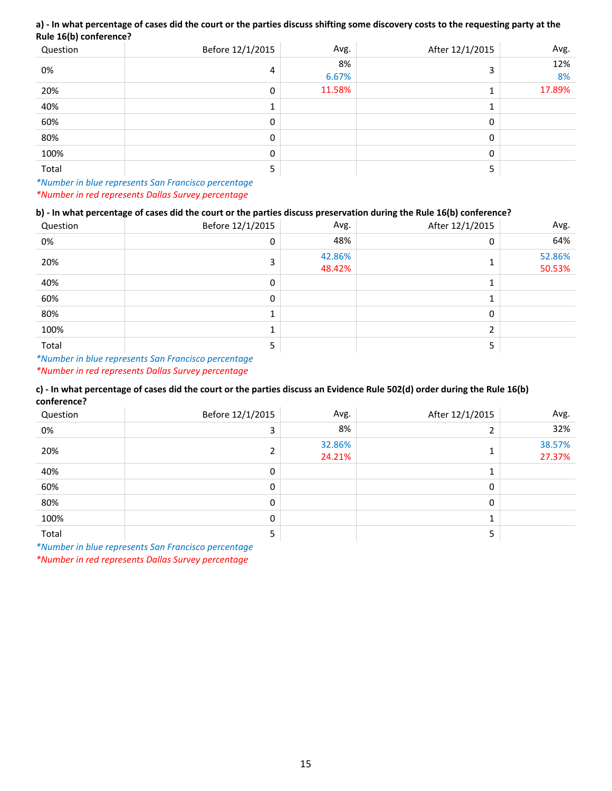### **a) ‐ In what percentage of cases did the court or the parties discuss shifting some discovery costs to the requesting party at the Rule 16(b) conference?**

| Question | Before 12/1/2015 | Avg.        | After 12/1/2015 | Avg.      |
|----------|------------------|-------------|-----------------|-----------|
| 0%       | 4                | 8%<br>6.67% | ∍               | 12%<br>8% |
| 20%      | 0                | 11.58%      |                 | 17.89%    |
| 40%      |                  |             |                 |           |
| 60%      | $\Omega$         |             | 0               |           |
| 80%      | 0                |             | 0               |           |
| 100%     | 0                |             | 0               |           |
| Total    |                  |             |                 |           |

*\*Number in blue represents San Francisco percentage \*Number in red represents Dallas Survey percentage*

### **b) ‐ In what percentage of cases did the court or the parties discuss preservation during the Rule 16(b) conference?**

| Question | Before 12/1/2015 | Avg.             | After 12/1/2015 | Avg.             |
|----------|------------------|------------------|-----------------|------------------|
| 0%       | 0                | 48%              | 0               | 64%              |
| 20%      | 3                | 42.86%<br>48.42% |                 | 52.86%<br>50.53% |
| 40%      | 0                |                  |                 |                  |
| 60%      | 0                |                  |                 |                  |
| 80%      |                  |                  | 0               |                  |
| 100%     |                  |                  | ∍               |                  |
| Total    |                  |                  | ∍               |                  |

*\*Number in blue represents San Francisco percentage \*Number in red represents Dallas Survey percentage*

### **c) ‐ In what percentage of cases did the court or the parties discuss an Evidence Rule 502(d) order during the Rule 16(b) conference?**

| Question | Before 12/1/2015 | Avg.             | After 12/1/2015 | Avg.             |
|----------|------------------|------------------|-----------------|------------------|
| 0%       |                  | 8%               |                 | 32%              |
| 20%      |                  | 32.86%<br>24.21% |                 | 38.57%<br>27.37% |
| 40%      | 0                |                  |                 |                  |
| 60%      | 0                |                  | 0               |                  |
| 80%      | 0                |                  | 0               |                  |
| 100%     | 0                |                  |                 |                  |
| Total    |                  |                  |                 |                  |

*\*Number in blue represents San Francisco percentage*

*\*Number in red represents Dallas Survey percentage*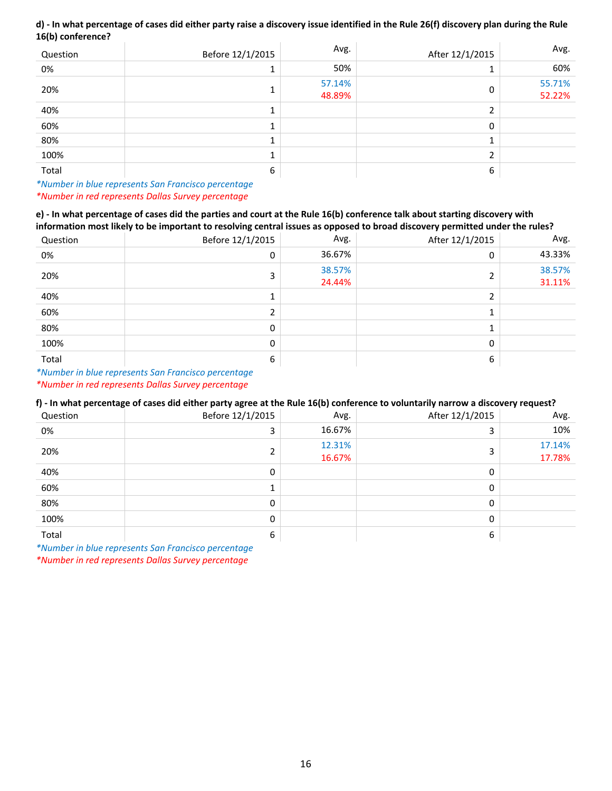### **d) ‐ In what percentage of cases did either party raise a discovery issue identified in the Rule 26(f) discovery plan during the Rule 16(b) conference?**

| Question | Before 12/1/2015 | Avg.             | After 12/1/2015 | Avg.             |
|----------|------------------|------------------|-----------------|------------------|
| 0%       |                  | 50%              |                 | 60%              |
| 20%      |                  | 57.14%<br>48.89% | 0               | 55.71%<br>52.22% |
| 40%      |                  |                  | n.              |                  |
| 60%      |                  |                  | 0               |                  |
| 80%      |                  |                  |                 |                  |
| 100%     |                  |                  | ∍               |                  |
| Total    | 6                |                  | 6               |                  |

*\*Number in blue represents San Francisco percentage \*Number in red represents Dallas Survey percentage*

#### **e) ‐ In what percentage of cases did the parties and court at the Rule 16(b) conference talk about starting discovery with information most likely to be important to resolving central issues as opposed to broad discovery permitted under the rules?**

|          | imormation most likely to be important to resolving central issues as opposed to broad discovery permitted under the rules? |                  |                 |                  |  |
|----------|-----------------------------------------------------------------------------------------------------------------------------|------------------|-----------------|------------------|--|
| Question | Before 12/1/2015                                                                                                            | Avg.             | After 12/1/2015 | Avg.             |  |
| 0%       | 0                                                                                                                           | 36.67%           | 0               | 43.33%           |  |
| 20%      |                                                                                                                             | 38.57%<br>24.44% |                 | 38.57%<br>31.11% |  |
| 40%      |                                                                                                                             |                  |                 |                  |  |
| 60%      |                                                                                                                             |                  |                 |                  |  |
| 80%      | 0                                                                                                                           |                  |                 |                  |  |
| 100%     | 0                                                                                                                           |                  | 0               |                  |  |
| Total    | 6                                                                                                                           |                  | 6               |                  |  |

*\*Number in blue represents San Francisco percentage \*Number in red represents Dallas Survey percentage*

### **f) ‐ In what percentage of cases did either party agree at the Rule 16(b) conference to voluntarily narrow a discovery request?**

| Question | Before 12/1/2015 | Avg.             | After 12/1/2015 | Avg.             |
|----------|------------------|------------------|-----------------|------------------|
| 0%       | 3                | 16.67%           | 3               | 10%              |
| 20%      |                  | 12.31%<br>16.67% | 3               | 17.14%<br>17.78% |
| 40%      | 0                |                  | 0               |                  |
| 60%      |                  |                  | 0               |                  |
| 80%      | 0                |                  | $\mathbf{0}$    |                  |
| 100%     | 0                |                  | 0               |                  |
| Total    | 6                |                  | 6               |                  |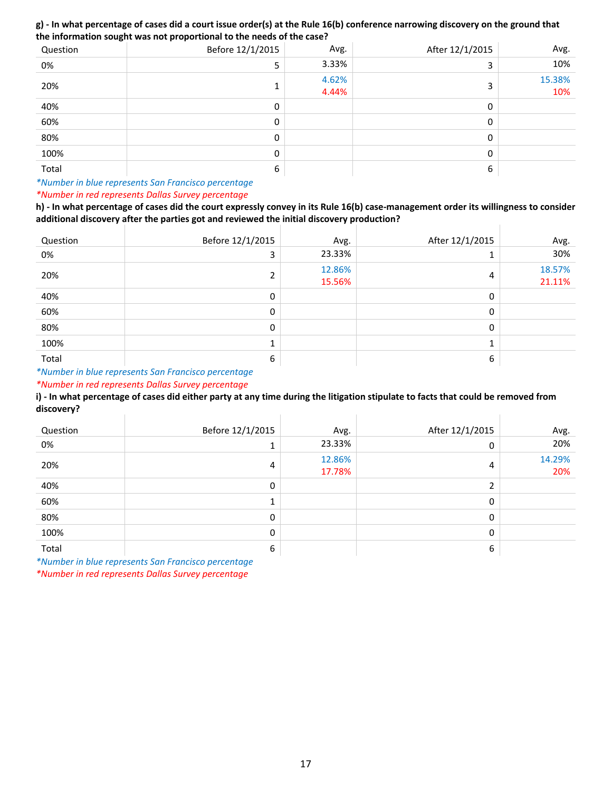### **g) ‐ In what percentage of cases did a court issue order(s) at the Rule 16(b) conference narrowing discovery on the ground that the information sought was not proportional to the needs of the case?**

| Question | Before 12/1/2015 | Avg.           | After 12/1/2015 | Avg.          |
|----------|------------------|----------------|-----------------|---------------|
| 0%       | с<br>∍           | 3.33%          | 3               | 10%           |
| 20%      |                  | 4.62%<br>4.44% | 3               | 15.38%<br>10% |
| 40%      | 0                |                | 0               |               |
| 60%      | 0                |                | 0               |               |
| 80%      | 0                |                | 0               |               |
| 100%     | 0                |                | 0               |               |
| Total    | 6                |                | 6               |               |

### *\*Number in blue represents San Francisco percentage \*Number in red represents Dallas Survey percentage*

**h) ‐ In what percentage of cases did the court expressly convey in its Rule 16(b) case‐management order its willingness to consider additional discovery after the parties got and reviewed the initial discovery production?** 

| Question | Before 12/1/2015 | Avg.             | After 12/1/2015 | Avg.             |
|----------|------------------|------------------|-----------------|------------------|
| 0%       | 3                | 23.33%           |                 | 30%              |
| 20%      | ຳ                | 12.86%<br>15.56% | 4               | 18.57%<br>21.11% |
| 40%      | 0                |                  | $\mathbf{0}$    |                  |
| 60%      | 0                |                  | 0               |                  |
| 80%      | 0                |                  | $\mathbf{0}$    |                  |
| 100%     |                  |                  |                 |                  |
| Total    | 6                |                  | 6               |                  |

*\*Number in blue represents San Francisco percentage*

*\*Number in red represents Dallas Survey percentage*

**i) ‐ In what percentage of cases did either party at any time during the litigation stipulate to facts that could be removed from discovery?**

| Question | Before 12/1/2015 | Avg.             | After 12/1/2015 | Avg.          |
|----------|------------------|------------------|-----------------|---------------|
| 0%       |                  | 23.33%           | 0               | 20%           |
| 20%      | 4                | 12.86%<br>17.78% | 4               | 14.29%<br>20% |
| 40%      | $\mathbf{0}$     |                  | ົາ              |               |
| 60%      |                  |                  | 0               |               |
| 80%      | 0                |                  | 0               |               |
| 100%     | 0                |                  | 0               |               |
| Total    | 6                |                  | 6               |               |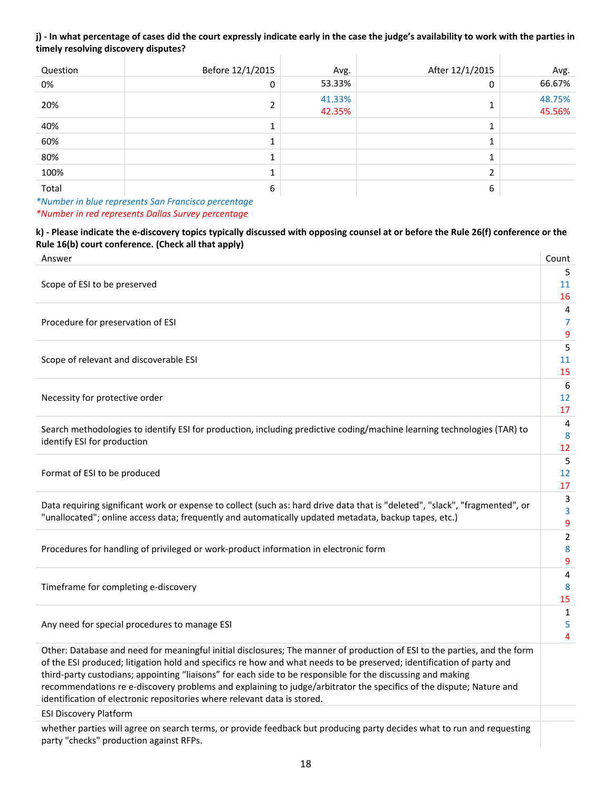#### **j) ‐ In what percentage of cases did the court expressly indicate early in the case the judge's availability to work with the parties in timely resolving discovery disputes?**  $\mathbf{r}$  $\overline{\phantom{a}}$

| Question | Before 12/1/2015 | Avg.             | After 12/1/2015 | Avg.             |
|----------|------------------|------------------|-----------------|------------------|
| 0%       | 0                | 53.33%           | 0               | 66.67%           |
| 20%      |                  | 41.33%<br>42.35% |                 | 48.75%<br>45.56% |
| 40%      |                  |                  |                 |                  |
| 60%      |                  |                  |                 |                  |
| 80%      |                  |                  |                 |                  |
| 100%     |                  |                  | C.              |                  |
| Total    | 6                |                  | 6               |                  |

*\*Number in blue represents San Francisco percentage \*Number in red represents Dallas Survey percentage* 

### **k) ‐ Please indicate the e‐discovery topics typically discussed with opposing counsel at or before the Rule 26(f) conference or the Rule 16(b) court conference. (Check all that apply)**

| Answer                                                                                                                                                                                                                                                                                                                                                                                                                                                                                                                                                               | Count                              |
|----------------------------------------------------------------------------------------------------------------------------------------------------------------------------------------------------------------------------------------------------------------------------------------------------------------------------------------------------------------------------------------------------------------------------------------------------------------------------------------------------------------------------------------------------------------------|------------------------------------|
| Scope of ESI to be preserved                                                                                                                                                                                                                                                                                                                                                                                                                                                                                                                                         | 5<br>11<br>16                      |
| Procedure for preservation of ESI                                                                                                                                                                                                                                                                                                                                                                                                                                                                                                                                    | 4<br>7<br>9                        |
| Scope of relevant and discoverable ESI                                                                                                                                                                                                                                                                                                                                                                                                                                                                                                                               | 5<br>11<br>15                      |
| Necessity for protective order                                                                                                                                                                                                                                                                                                                                                                                                                                                                                                                                       | 6<br>12<br>17                      |
| Search methodologies to identify ESI for production, including predictive coding/machine learning technologies (TAR) to<br>identify ESI for production                                                                                                                                                                                                                                                                                                                                                                                                               | 4<br>8<br>12                       |
| Format of ESI to be produced                                                                                                                                                                                                                                                                                                                                                                                                                                                                                                                                         | 5<br>12<br>17                      |
| Data requiring significant work or expense to collect (such as: hard drive data that is "deleted", "slack", "fragmented", or<br>"unallocated"; online access data; frequently and automatically updated metadata, backup tapes, etc.)                                                                                                                                                                                                                                                                                                                                | 3<br>3<br>9                        |
| Procedures for handling of privileged or work-product information in electronic form                                                                                                                                                                                                                                                                                                                                                                                                                                                                                 | $\overline{2}$<br>8<br>9           |
| Timeframe for completing e-discovery                                                                                                                                                                                                                                                                                                                                                                                                                                                                                                                                 | $\overline{\mathbf{4}}$<br>8<br>15 |
| Any need for special procedures to manage ESI                                                                                                                                                                                                                                                                                                                                                                                                                                                                                                                        | $\mathbf{1}$<br>5<br>4             |
| Other: Database and need for meaningful initial disclosures; The manner of production of ESI to the parties, and the form<br>of the ESI produced; litigation hold and specifics re how and what needs to be preserved; identification of party and<br>third-party custodians; appointing "liaisons" for each side to be responsible for the discussing and making<br>recommendations re e-discovery problems and explaining to judge/arbitrator the specifics of the dispute; Nature and<br>identification of electronic repositories where relevant data is stored. |                                    |
| <b>ESI Discovery Platform</b>                                                                                                                                                                                                                                                                                                                                                                                                                                                                                                                                        |                                    |
| whether parties will agree on search terms, or provide feedback but producing party decides what to run and requesting<br>party "checks" production against RFPs.                                                                                                                                                                                                                                                                                                                                                                                                    |                                    |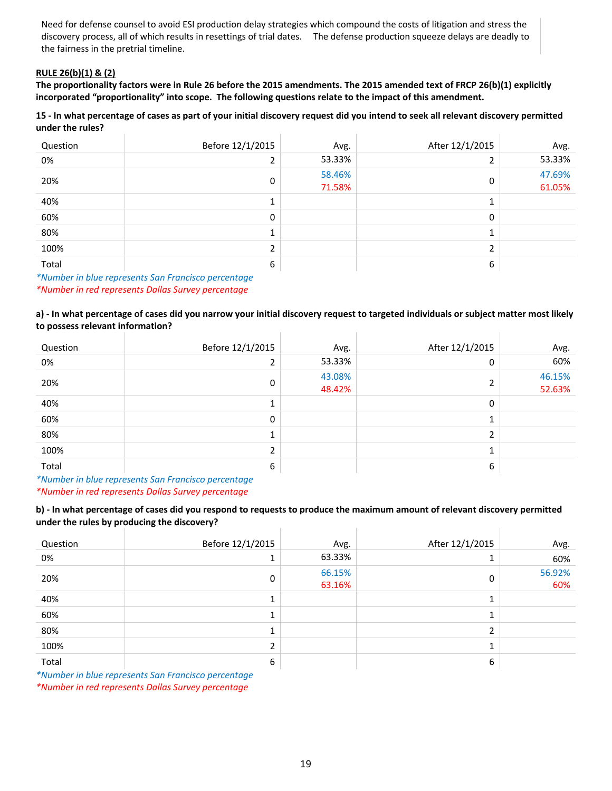Need for defense counsel to avoid ESI production delay strategies which compound the costs of litigation and stress the discovery process, all of which results in resettings of trial dates. The defense production squeeze delays are deadly to the fairness in the pretrial timeline.

### **RULE 26(b)(1) & (2)**

**The proportionality factors were in Rule 26 before the 2015 amendments. The 2015 amended text of FRCP 26(b)(1) explicitly incorporated "proportionality" into scope. The following questions relate to the impact of this amendment.** 

### **15 ‐ In what percentage of cases as part of your initial discovery request did you intend to seek all relevant discovery permitted under the rules?**

| Question                                                                                                                 | Before 12/1/2015 | Avg.             | After 12/1/2015 | Avg.             |
|--------------------------------------------------------------------------------------------------------------------------|------------------|------------------|-----------------|------------------|
| 0%                                                                                                                       |                  | 53.33%           | n.              | 53.33%           |
| 20%                                                                                                                      | 0                | 58.46%<br>71.58% | 0               | 47.69%<br>61.05% |
| 40%                                                                                                                      |                  |                  | 1               |                  |
| 60%                                                                                                                      | 0                |                  | 0               |                  |
| 80%                                                                                                                      |                  |                  | 1               |                  |
| 100%                                                                                                                     |                  |                  | C.              |                  |
| Total<br>the contract of the contract of the contract of the contract of the contract of the contract of the contract of | 6                |                  | 6               |                  |

*\*Number in blue represents San Francisco percentage \*Number in red represents Dallas Survey percentage*

**a) ‐ In what percentage of cases did you narrow your initial discovery request to targeted individuals or subject matter most likely to possess relevant information?** Ŷ.  $\mathbf{r}$ 

| Question                                                                                 | Before 12/1/2015 | Avg.             | After 12/1/2015 | Avg.             |
|------------------------------------------------------------------------------------------|------------------|------------------|-----------------|------------------|
| 0%                                                                                       |                  | 53.33%           | 0               | 60%              |
| 20%                                                                                      | $\mathbf{0}$     | 43.08%<br>48.42% | h               | 46.15%<br>52.63% |
| 40%                                                                                      |                  |                  | 0               |                  |
| 60%                                                                                      | 0                |                  |                 |                  |
| 80%                                                                                      |                  |                  | C.              |                  |
| 100%                                                                                     |                  |                  |                 |                  |
| Total<br>the contract of the contract of the contract of the contract of the contract of | 6                |                  | 6               |                  |

*\*Number in blue represents San Francisco percentage \*Number in red represents Dallas Survey percentage*

**b) ‐ In what percentage of cases did you respond to requests to produce the maximum amount of relevant discovery permitted under the rules by producing the discovery?**  $\mathbf{r}$ 

| Question | Before 12/1/2015                                                                                                                | Avg.             | After 12/1/2015 | Avg.          |
|----------|---------------------------------------------------------------------------------------------------------------------------------|------------------|-----------------|---------------|
| 0%       |                                                                                                                                 | 63.33%           |                 | 60%           |
| 20%      | 0                                                                                                                               | 66.15%<br>63.16% | 0               | 56.92%<br>60% |
| 40%      |                                                                                                                                 |                  |                 |               |
| 60%      |                                                                                                                                 |                  |                 |               |
| 80%      |                                                                                                                                 |                  |                 |               |
| 100%     |                                                                                                                                 |                  |                 |               |
| Total    | 6                                                                                                                               |                  | 6               |               |
|          | $\mathcal{L}$ and $\mathcal{L}$ are the following contract of $\mathcal{L}$ and $\mathcal{L}$ are the contract of $\mathcal{L}$ |                  |                 |               |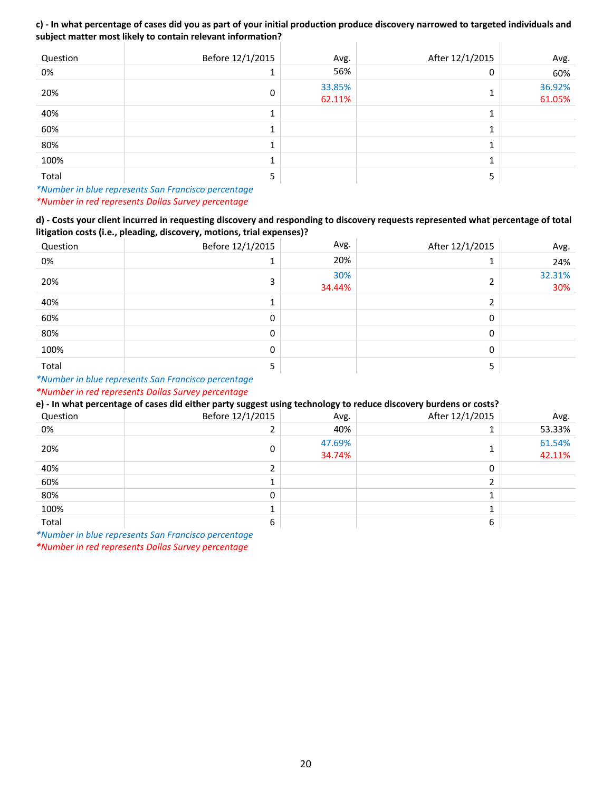#### **c) ‐ In what percentage of cases did you as part of your initial production produce discovery narrowed to targeted individuals and subject matter most likely to contain relevant information?**  $\mathbb{L}$

| Question | Before 12/1/2015 | Avg.             | After 12/1/2015 | Avg.             |
|----------|------------------|------------------|-----------------|------------------|
| 0%       |                  | 56%              | 0               | 60%              |
| 20%      | 0                | 33.85%<br>62.11% |                 | 36.92%<br>61.05% |
| 40%      |                  |                  |                 |                  |
| 60%      |                  |                  |                 |                  |
| 80%      |                  |                  |                 |                  |
| 100%     |                  |                  |                 |                  |
| Total    | 5                |                  | כ               |                  |

*\*Number in blue represents San Francisco percentage \*Number in red represents Dallas Survey percentage*

**d) ‐ Costs your client incurred in requesting discovery and responding to discovery requests represented what percentage of total litigation costs (i.e., pleading, discovery, motions, trial expenses)?**

| Question | Before 12/1/2015 | Avg.          | After 12/1/2015 | Avg.          |
|----------|------------------|---------------|-----------------|---------------|
| 0%       |                  | 20%           |                 | 24%           |
| 20%      |                  | 30%<br>34.44% | ◠               | 32.31%<br>30% |
| 40%      |                  |               | C.              |               |
| 60%      | 0                |               | 0               |               |
| 80%      | 0                |               | $\mathbf{0}$    |               |
| 100%     | 0                |               | 0               |               |
| Total    | כ                |               |                 |               |

### *\*Number in blue represents San Francisco percentage*

*\*Number in red represents Dallas Survey percentage*

### **e) ‐ In what percentage of cases did either party suggest using technology to reduce discovery burdens or costs?**

| Question | Before 12/1/2015 | Avg.   | After 12/1/2015 | Avg.   |
|----------|------------------|--------|-----------------|--------|
| 0%       |                  | 40%    |                 | 53.33% |
|          |                  | 47.69% |                 | 61.54% |
| 20%      |                  | 34.74% |                 | 42.11% |
| 40%      |                  |        | 0               |        |
| 60%      |                  |        |                 |        |
| 80%      | 0                |        |                 |        |
| 100%     |                  |        |                 |        |
| Total    | 6                |        | 6               |        |

*\*Number in blue represents San Francisco percentage*

*\*Number in red represents Dallas Survey percentage*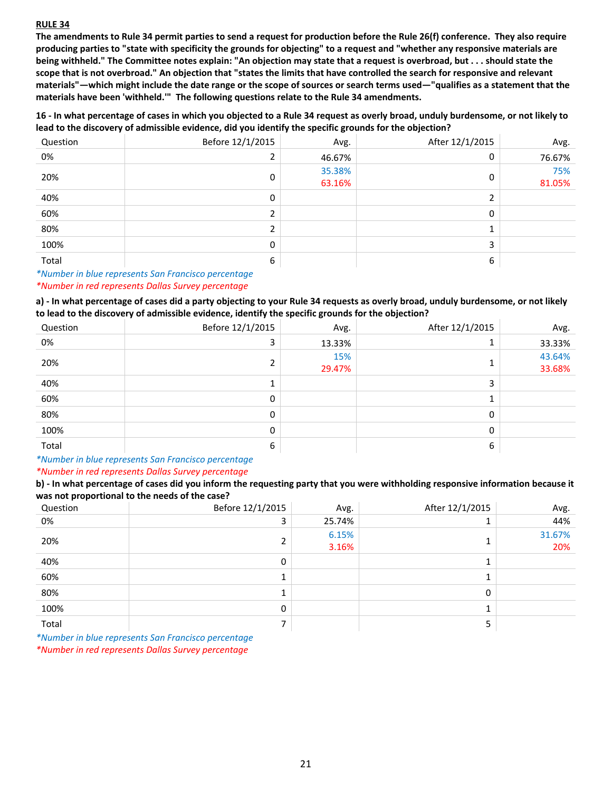### **RULE 34**

**The amendments to Rule 34 permit parties to send a request for production before the Rule 26(f) conference. They also require producing parties to "state with specificity the grounds for objecting" to a request and "whether any responsive materials are being withheld." The Committee notes explain: "An objection may state that a request is overbroad, but . . . should state the scope that is not overbroad." An objection that "states the limits that have controlled the search for responsive and relevant materials"—which might include the date range or the scope of sources or search terms used—"qualifies as a statement that the materials have been 'withheld.'" The following questions relate to the Rule 34 amendments.** 

**16 ‐ In what percentage of cases in which you objected to a Rule 34 request as overly broad, unduly burdensome, or not likely to lead to the discovery of admissible evidence, did you identify the specific grounds for the objection?**

| Question | Before 12/1/2015 | Avg.             | After 12/1/2015 | Avg.          |
|----------|------------------|------------------|-----------------|---------------|
| 0%       |                  | 46.67%           | 0               | 76.67%        |
| 20%      | 0                | 35.38%<br>63.16% | 0               | 75%<br>81.05% |
| 40%      | 0                |                  |                 |               |
| 60%      |                  |                  | 0               |               |
| 80%      |                  |                  |                 |               |
| 100%     | $\Omega$         |                  | 3               |               |
| Total    | 6                |                  | 6               |               |

*\*Number in blue represents San Francisco percentage*

### *\*Number in red represents Dallas Survey percentage*

**a) ‐ In what percentage of cases did a party objecting to your Rule 34 requests as overly broad, unduly burdensome, or not likely to lead to the discovery of admissible evidence, identify the specific grounds for the objection?**

| Question | Before 12/1/2015 | Avg.   | After 12/1/2015 | Avg.   |
|----------|------------------|--------|-----------------|--------|
| 0%       | 3                | 13.33% |                 | 33.33% |
| 20%      |                  | 15%    |                 | 43.64% |
|          |                  | 29.47% |                 | 33.68% |
| 40%      |                  |        | 3               |        |
| 60%      | 0                |        |                 |        |
| 80%      | 0                |        | 0               |        |
| 100%     | 0                |        | 0               |        |
| Total    | 6                |        | 6               |        |

*\*Number in blue represents San Francisco percentage \*Number in red represents Dallas Survey percentage*

**b) ‐ In what percentage of cases did you inform the requesting party that you were withholding responsive information because it was not proportional to the needs of the case?**

| Question                                                                                                                 | Before 12/1/2015 | Avg.           | After 12/1/2015 | Avg.          |
|--------------------------------------------------------------------------------------------------------------------------|------------------|----------------|-----------------|---------------|
| 0%                                                                                                                       | 3                | 25.74%         |                 | 44%           |
| 20%                                                                                                                      | 2                | 6.15%<br>3.16% |                 | 31.67%<br>20% |
| 40%                                                                                                                      | 0                |                |                 |               |
| 60%                                                                                                                      | ┻                |                |                 |               |
| 80%                                                                                                                      | ÷.               |                | 0               |               |
| 100%                                                                                                                     | 0                |                |                 |               |
| Total<br>the contract of the contract of the contract of the contract of the contract of the contract of the contract of | ⇁                |                | п<br>כ          |               |

*\*Number in blue represents San Francisco percentage*

*\*Number in red represents Dallas Survey percentage*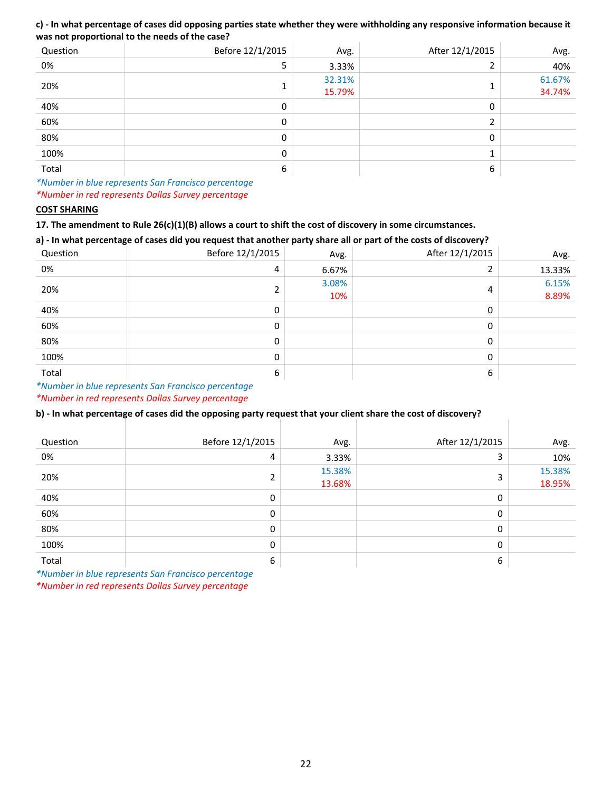### **c) ‐ In what percentage of cases did opposing parties state whether they were withholding any responsive information because it was not proportional to the needs of the case?**

| Question | Before 12/1/2015 | Avg.             | After 12/1/2015 | Avg.             |
|----------|------------------|------------------|-----------------|------------------|
| 0%       | 5                | 3.33%            |                 | 40%              |
| 20%      | ÷.               | 32.31%<br>15.79% |                 | 61.67%<br>34.74% |
| 40%      | 0                |                  | 0               |                  |
| 60%      | 0                |                  | h               |                  |
| 80%      | 0                |                  | 0               |                  |
| 100%     | 0                |                  |                 |                  |
| Total    | 6                |                  | 6               |                  |

*\*Number in blue represents San Francisco percentage \*Number in red represents Dallas Survey percentage*

### **COST SHARING**

**17. The amendment to Rule 26(c)(1)(B) allows a court to shift the cost of discovery in some circumstances.** 

### **a) ‐ In what percentage of cases did you request that another party share all or part of the costs of discovery?**

| Question | . .<br>Before 12/1/2015 | . .<br>. .<br>Avg. | After 12/1/2015 | Avg.           |
|----------|-------------------------|--------------------|-----------------|----------------|
| 0%       | 4                       | 6.67%              |                 | 13.33%         |
| 20%      |                         | 3.08%<br>10%       | 4               | 6.15%<br>8.89% |
| 40%      | $\Omega$                |                    | 0               |                |
| 60%      | O                       |                    | 0               |                |
| 80%      | 0                       |                    | 0               |                |
| 100%     | <sup>0</sup>            |                    | $\Omega$        |                |
| Total    | 6                       |                    | 6               |                |

*\*Number in blue represents San Francisco percentage*

*\*Number in red represents Dallas Survey percentage*

### **b) ‐ In what percentage of cases did the opposing party request that your client share the cost of discovery?**

| Question | Before 12/1/2015 | Avg.             | After 12/1/2015 | Avg.             |
|----------|------------------|------------------|-----------------|------------------|
| 0%       | 4                | 3.33%            | 3               | 10%              |
| 20%      |                  | 15.38%<br>13.68% | 3               | 15.38%<br>18.95% |
| 40%      | 0                |                  | 0               |                  |
| 60%      | 0                |                  | 0               |                  |
| 80%      | 0                |                  | 0               |                  |
| 100%     | $\mathbf{0}$     |                  | 0               |                  |
| Total    | 6                |                  | 6               |                  |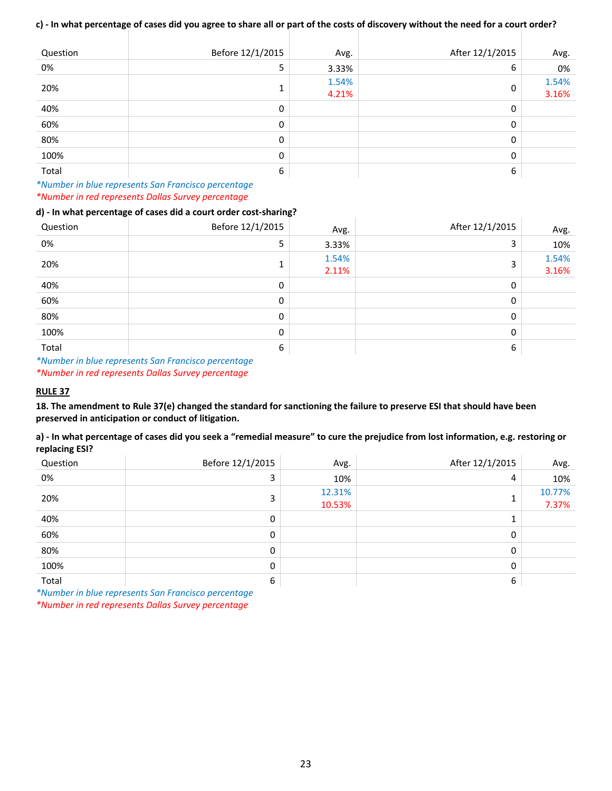### **c) ‐ In what percentage of cases did you agree to share all or part of the costs of discovery without the need for a court order?**

| Question | Before 12/1/2015 | Avg.           | After 12/1/2015 | Avg.           |
|----------|------------------|----------------|-----------------|----------------|
| 0%       | 5                | 3.33%          | 6               | 0%             |
| 20%      | 1<br>┻           | 1.54%<br>4.21% | 0               | 1.54%<br>3.16% |
| 40%      | 0                |                | 0               |                |
| 60%      | 0                |                | 0               |                |
| 80%      | 0                |                | 0               |                |
| 100%     | 0                |                | 0               |                |
| Total    | 6                |                | 6               |                |

*\*Number in blue represents San Francisco percentage \*Number in red represents Dallas Survey percentage*

### **d) ‐ In what percentage of cases did a court order cost‐sharing?**

| Question | Before 12/1/2015 | Avg.           | After 12/1/2015 | Avg.           |
|----------|------------------|----------------|-----------------|----------------|
| 0%       | 5                | 3.33%          | 3               | 10%            |
| 20%      | 1<br>Ŧ.          | 1.54%<br>2.11% | 3               | 1.54%<br>3.16% |
| 40%      | 0                |                | 0               |                |
| 60%      | 0                |                | 0               |                |
| 80%      | 0                |                | 0               |                |
| 100%     | 0                |                | 0               |                |
| Total    | 6                |                | 6               |                |

*\*Number in blue represents San Francisco percentage \*Number in red represents Dallas Survey percentage*

### **RULE 37**

**18. The amendment to Rule 37(e) changed the standard for sanctioning the failure to preserve ESI that should have been preserved in anticipation or conduct of litigation.** 

**a) ‐ In what percentage of cases did you seek a "remedial measure" to cure the prejudice from lost information, e.g. restoring or replacing ESI?**

| Question | Before 12/1/2015 | Avg.   | After 12/1/2015 | Avg.   |
|----------|------------------|--------|-----------------|--------|
| 0%       |                  | 10%    | 4               | 10%    |
| 20%      |                  | 12.31% |                 | 10.77% |
|          |                  | 10.53% |                 | 7.37%  |
| 40%      | 0                |        |                 |        |
| 60%      | 0                |        | 0               |        |
| 80%      | 0                |        | 0               |        |
| 100%     | 0                |        | 0               |        |
| Total    | 6                |        | 6               |        |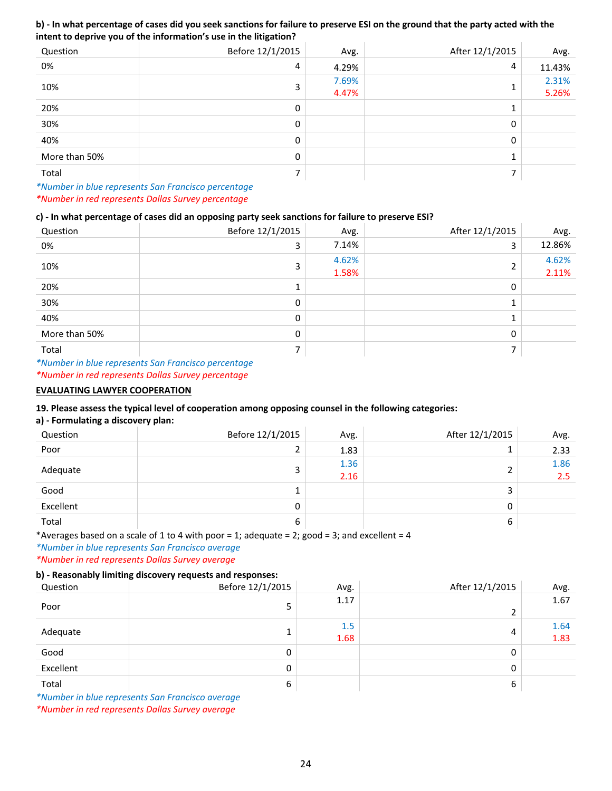### **b) ‐ In what percentage of cases did you seek sanctions for failure to preserve ESI on the ground that the party acted with the intent to deprive you of the information's use in the litigation?**

| Question      | Before 12/1/2015 | Avg.           | After 12/1/2015 | Avg.           |
|---------------|------------------|----------------|-----------------|----------------|
| 0%            | 4                | 4.29%          | 4               | 11.43%         |
| 10%           | 3                | 7.69%<br>4.47% |                 | 2.31%<br>5.26% |
| 20%           | 0                |                |                 |                |
| 30%           | 0                |                | 0               |                |
| 40%           | 0                |                | 0               |                |
| More than 50% | 0                |                |                 |                |
| Total         | 7                |                | ⇁               |                |

*\*Number in blue represents San Francisco percentage \*Number in red represents Dallas Survey percentage*

### **c) ‐ In what percentage of cases did an opposing party seek sanctions for failure to preserve ESI?**

| Question      | Before 12/1/2015 | Avg.           | After 12/1/2015 | Avg.           |
|---------------|------------------|----------------|-----------------|----------------|
| 0%            | 3                | 7.14%          | 3               | 12.86%         |
| 10%           | 3                | 4.62%<br>1.58% | C.<br>۷         | 4.62%<br>2.11% |
| 20%           | 1                |                | 0               |                |
| 30%           | 0                |                | 1               |                |
| 40%           | 0                |                | $\mathbf{1}$    |                |
| More than 50% | 0                |                | 0               |                |
| Total         |                  |                | ⇁               |                |

*\*Number in blue represents San Francisco percentage \*Number in red represents Dallas Survey percentage*

### **EVALUATING LAWYER COOPERATION**

### **19. Please assess the typical level of cooperation among opposing counsel in the following categories:**

### **a) ‐ Formulating a discovery plan:**

| Question  | Before 12/1/2015 | Avg.         | After 12/1/2015 | Avg.        |
|-----------|------------------|--------------|-----------------|-------------|
| Poor      | 2                | 1.83         |                 | 2.33        |
| Adequate  | 3                | 1.36<br>2.16 |                 | 1.86<br>2.5 |
| Good      | л                |              | 3               |             |
| Excellent | 0                |              | 0               |             |
| Total     | 6                |              | 6               |             |

\*Averages based on a scale of 1 to 4 with poor = 1; adequate = 2; good = 3; and excellent = 4

*\*Number in blue represents San Francisco average \*Number in red represents Dallas Survey average*

#### **b) ‐ Reasonably limiting discovery requests and responses:**

| . .<br>Question | Before 12/1/2015 | Avg. | After 12/1/2015 | Avg. |
|-----------------|------------------|------|-----------------|------|
| Poor            |                  | 1.17 |                 | 1.67 |
|                 |                  |      | C               |      |
|                 |                  | 1.5  |                 | 1.64 |
| Adequate        |                  | 1.68 | 4               | 1.83 |
| Good            | 0                |      | 0               |      |
| Excellent       | 0                |      | 0               |      |
| Total           | 6                |      | 6               |      |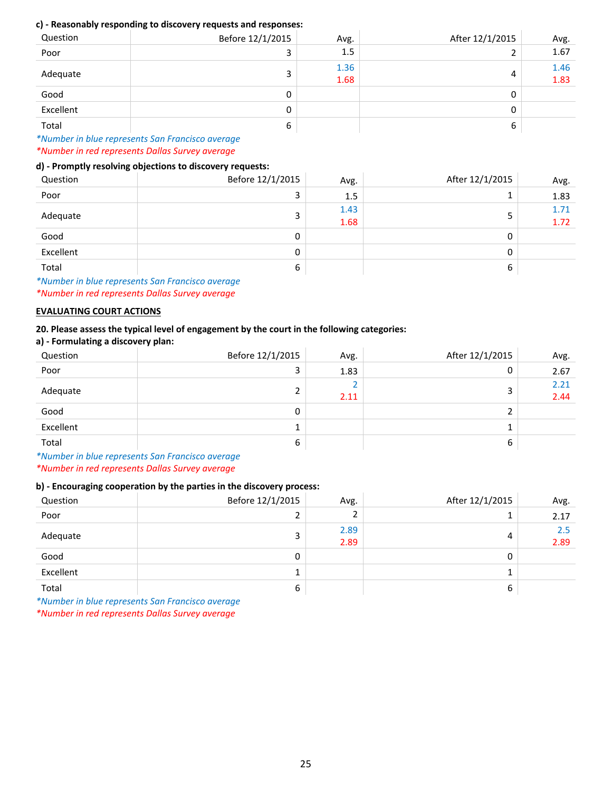### **c) ‐ Reasonably responding to discovery requests and responses:**

| Question  | Before 12/1/2015 | Avg.         | After 12/1/2015 | Avg.         |
|-----------|------------------|--------------|-----------------|--------------|
| Poor      |                  | 1.5          | າ               | 1.67         |
| Adequate  | ∍                | 1.36<br>1.68 | 4               | 1.46<br>1.83 |
| Good      | 0                |              | 0               |              |
| Excellent | 0                |              | 0               |              |
| Total     | ь                |              | 6               |              |

*\*Number in blue represents San Francisco average \*Number in red represents Dallas Survey average*

### **d) ‐ Promptly resolving objections to discovery requests:**

| .<br>$\sim$<br>Question | ____<br>Before 12/1/2015 | Avg.         | After 12/1/2015 | Avg.         |
|-------------------------|--------------------------|--------------|-----------------|--------------|
| Poor                    | 3                        | 1.5          |                 | 1.83         |
| Adequate                | 3                        | 1.43<br>1.68 |                 | 1.71<br>1.72 |
| Good                    | 0                        |              | 0               |              |
| Excellent               | 0                        |              | 0               |              |
| Total                   | 6                        |              | 6               |              |

*\*Number in blue represents San Francisco average \*Number in red represents Dallas Survey average*

### **EVALUATING COURT ACTIONS**

### **20. Please assess the typical level of engagement by the court in the following categories:**

**a) ‐ Formulating a discovery plan:**

| Question  | Before 12/1/2015 | Avg. | After 12/1/2015 | Avg.         |
|-----------|------------------|------|-----------------|--------------|
| Poor      | 3                | 1.83 | 0               | 2.67         |
| Adequate  | ำ                | 2.11 |                 | 2.21<br>2.44 |
| Good      | 0                |      |                 |              |
| Excellent | 1                |      |                 |              |
| Total     | 6                |      | 6               |              |

*\*Number in blue represents San Francisco average \*Number in red represents Dallas Survey average*

### **b) ‐ Encouraging cooperation by the parties in the discovery process:**

| Question  | Before 12/1/2015 | Avg.         | After 12/1/2015 | Avg.        |
|-----------|------------------|--------------|-----------------|-------------|
| Poor      | 2                | ∠            | 1               | 2.17        |
| Adequate  | 3                | 2.89<br>2.89 | 4               | 2.5<br>2.89 |
| Good      | 0                |              | 0               |             |
| Excellent |                  |              |                 |             |
| Total     | 6                |              | 6               |             |

*\*Number in blue represents San Francisco average*

*\*Number in red represents Dallas Survey average*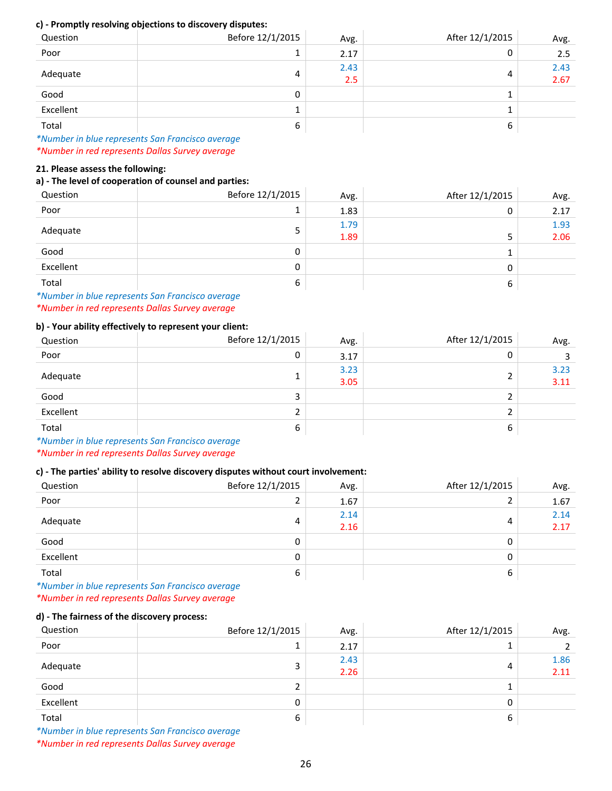#### **c) ‐ Promptly resolving objections to discovery disputes:**

| <u>.</u><br>Question | . .<br>. .<br>Before 12/1/2015 | Avg.        | After 12/1/2015 | Avg.         |
|----------------------|--------------------------------|-------------|-----------------|--------------|
| Poor                 | 1<br>┻                         | 2.17        | U               | 2.5          |
| Adequate             | 4                              | 2.43<br>2.5 | 4               | 2.43<br>2.67 |
| Good                 | 0                              |             |                 |              |
| Excellent            | 1<br>÷.                        |             |                 |              |
| Total                | 6                              |             | 6               |              |

*\*Number in blue represents San Francisco average \*Number in red represents Dallas Survey average*

#### **21. Please assess the following:**

### **a) ‐ The level of cooperation of counsel and parties:**

| Question                                                            | Before 12/1/2015 | Avg. | After 12/1/2015 | Avg. |
|---------------------------------------------------------------------|------------------|------|-----------------|------|
| Poor                                                                | 1                | 1.83 | 0               | 2.17 |
|                                                                     | 5                | 1.79 |                 | 1.93 |
| Adequate                                                            |                  | 1.89 | 5               | 2.06 |
| Good                                                                | 0                |      |                 |      |
| Excellent                                                           | 0                |      | 0               |      |
| Total                                                               | 6                |      | 6               |      |
| Attending to the left of a concernation from France to be concerned |                  |      |                 |      |

*\*Number in blue represents San Francisco average \*Number in red represents Dallas Survey average*

### **b) ‐ Your ability effectively to represent your client:**

| Question  | Before 12/1/2015 | Avg.         | After 12/1/2015 | Avg.         |
|-----------|------------------|--------------|-----------------|--------------|
| Poor      | 0                | 3.17         | U               | 3            |
| Adequate  | ÷                | 3.23<br>3.05 |                 | 3.23<br>3.11 |
| Good      | 3                |              |                 |              |
| Excellent | 2                |              |                 |              |
| Total     | 6                |              | 6               |              |

*\*Number in blue represents San Francisco average \*Number in red represents Dallas Survey average*

### **c) ‐ The parties' ability to resolve discovery disputes without court involvement:**

| Question  | Before 12/1/2015 | Avg.         | After 12/1/2015 | Avg.         |
|-----------|------------------|--------------|-----------------|--------------|
| Poor      | 2                | 1.67         |                 | 1.67         |
| Adequate  | 4                | 2.14<br>2.16 | 4               | 2.14<br>2.17 |
| Good      | 0                |              | 0               |              |
| Excellent | 0                |              | 0               |              |
| Total     | 6                |              | 6               |              |

*\*Number in blue represents San Francisco average \*Number in red represents Dallas Survey average*

#### **d) ‐ The fairness of the discovery process:**

| Question  | Before 12/1/2015 | Avg.         | After 12/1/2015 | Avg.         |
|-----------|------------------|--------------|-----------------|--------------|
| Poor      | 1                | 2.17         |                 |              |
| Adequate  | 3                | 2.43<br>2.26 | 4               | 1.86<br>2.11 |
| Good      | 2                |              |                 |              |
| Excellent | 0                |              | 0               |              |
| Total     | 6                |              | 6               |              |

*\*Number in blue represents San Francisco average*

*\*Number in red represents Dallas Survey average*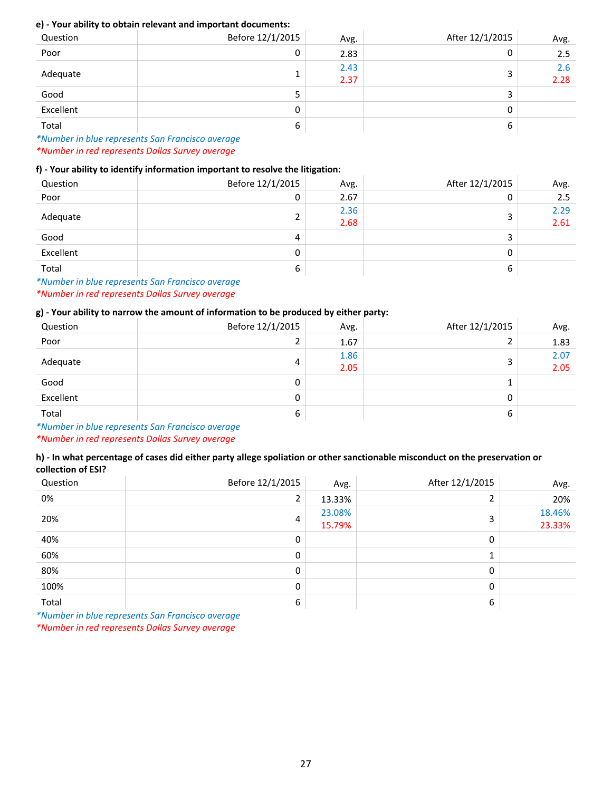### **e) ‐ Your ability to obtain relevant and important documents:**

| Question  | Before 12/1/2015 | Avg.         | After 12/1/2015 | Avg.        |
|-----------|------------------|--------------|-----------------|-------------|
| Poor      | 0                | 2.83         | 0               | 2.5         |
| Adequate  | ┻                | 2.43<br>2.37 |                 | 2.6<br>2.28 |
| Good      | 5                |              | 3               |             |
| Excellent | 0                |              | 0               |             |
| Total     | 6                |              | 6               |             |

*\*Number in blue represents San Francisco average \*Number in red represents Dallas Survey average*

### **f) ‐ Your ability to identify information important to resolve the litigation:**

| Question  | Before 12/1/2015 | Avg.         | After 12/1/2015 | Avg.         |
|-----------|------------------|--------------|-----------------|--------------|
| Poor      | 0                | 2.67         | 0               | 2.5          |
| Adequate  | 2                | 2.36<br>2.68 | د               | 2.29<br>2.61 |
| Good      | 4                |              |                 |              |
| Excellent | 0                |              | 0               |              |
| Total     | 6                |              | ь               |              |

*\*Number in blue represents San Francisco average \*Number in red represents Dallas Survey average*

### **g) ‐ Your ability to narrow the amount of information to be produced by either party:**

| Question  | Before 12/1/2015 | Avg.         | After 12/1/2015 | Avg.         |
|-----------|------------------|--------------|-----------------|--------------|
| Poor      | 2                | 1.67         |                 | 1.83         |
| Adequate  | 4                | 1.86<br>2.05 | ∍               | 2.07<br>2.05 |
| Good      | 0                |              |                 |              |
| Excellent | 0                |              | 0               |              |
| Total     | 6                |              | 6               |              |

*\*Number in blue represents San Francisco average*

*\*Number in red represents Dallas Survey average*

### **h) ‐ In what percentage of cases did either party allege spoliation or other sanctionable misconduct on the preservation or collection of ESI?**

| Question | Before 12/1/2015 | Avg.   | After 12/1/2015 | Avg.   |
|----------|------------------|--------|-----------------|--------|
| 0%       | $\overline{2}$   | 13.33% | n.              | 20%    |
| 20%      | 4                | 23.08% | 3               | 18.46% |
|          |                  | 15.79% |                 | 23.33% |
| 40%      | 0                |        | 0               |        |
| 60%      | 0                |        | 1               |        |
| 80%      | 0                |        | 0               |        |
| 100%     | 0                |        | 0               |        |
| Total    | 6                |        | 6               |        |

*\*Number in blue represents San Francisco average*

*\*Number in red represents Dallas Survey average*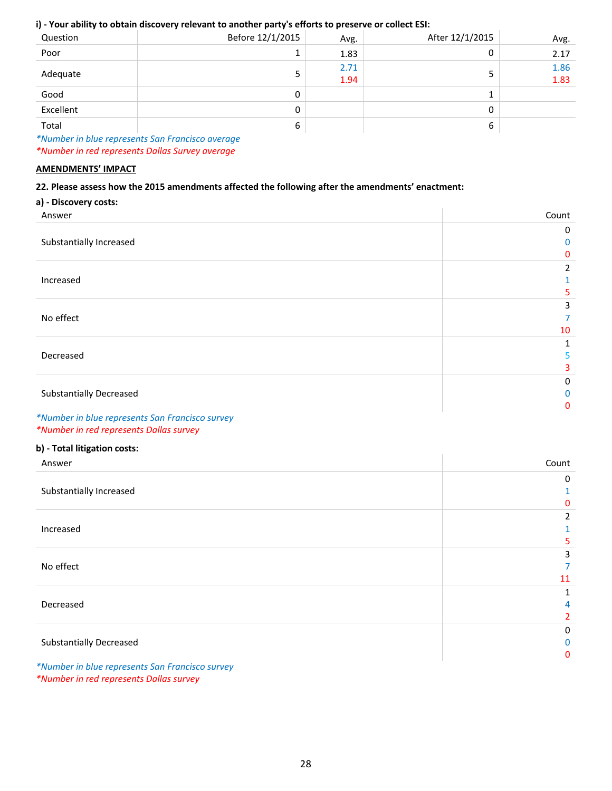### **i) ‐ Your ability to obtain discovery relevant to another party's efforts to preserve or collect ESI:**

| Question  | Before 12/1/2015 | Avg.         | After 12/1/2015 | Avg.         |
|-----------|------------------|--------------|-----------------|--------------|
| Poor      | 1                | 1.83         | 0               | 2.17         |
| Adequate  | 5                | 2.71<br>1.94 |                 | 1.86<br>1.83 |
| Good      | 0                |              |                 |              |
| Excellent | 0                |              | 0               |              |
| Total     | 6                |              | ь               |              |

*\*Number in blue represents San Francisco average \*Number in red represents Dallas Survey average*

#### **AMENDMENTS' IMPACT**

### **22. Please assess how the 2015 amendments affected the following after the amendments' enactment:**

|  |  |  |  |  | a) - Discovery costs: |
|--|--|--|--|--|-----------------------|
|--|--|--|--|--|-----------------------|

| Answer                                          | Count        |
|-------------------------------------------------|--------------|
|                                                 | 0            |
| Substantially Increased                         | 0            |
|                                                 | 0            |
|                                                 | 2            |
| Increased                                       |              |
|                                                 | 5.           |
|                                                 | 3            |
| No effect                                       | 7            |
|                                                 | 10           |
|                                                 | 1            |
| Decreased                                       | 5.           |
|                                                 | 3            |
|                                                 | 0            |
| <b>Substantially Decreased</b>                  | $\mathbf{0}$ |
|                                                 | $\mathbf{0}$ |
| *Number in blue represents San Francisco survey |              |

*\*Number in red represents Dallas survey* 

### **b) ‐ Total litigation costs:**

| Answer                                          | Count        |
|-------------------------------------------------|--------------|
|                                                 | 0            |
| Substantially Increased                         |              |
|                                                 | $\mathbf{0}$ |
|                                                 | 2            |
| Increased                                       |              |
|                                                 | 5            |
|                                                 | 3            |
| No effect                                       |              |
|                                                 | 11           |
|                                                 |              |
| Decreased                                       | 4            |
|                                                 | 2            |
|                                                 | 0            |
| <b>Substantially Decreased</b>                  | $\mathbf{0}$ |
|                                                 | $\mathbf{0}$ |
| *Number in blue represents San Francisco survey |              |

*\*Number in red represents Dallas survey*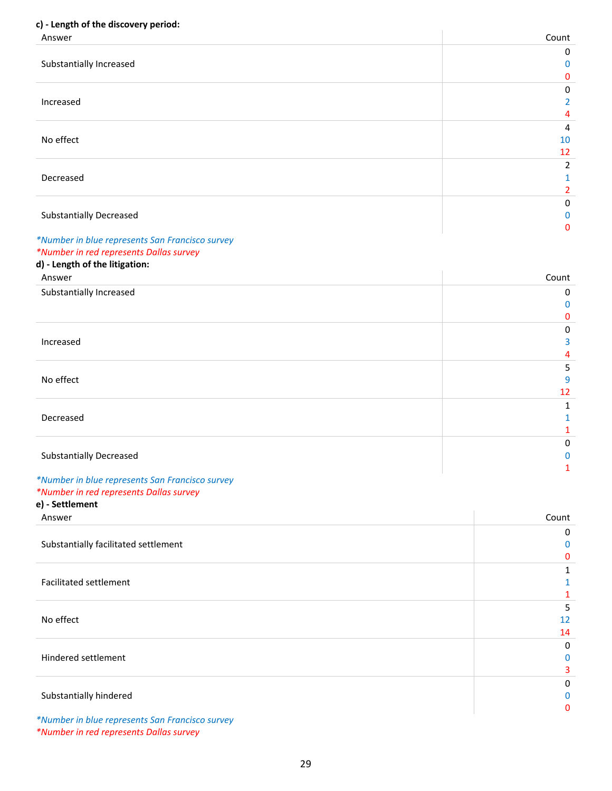### **c) ‐ Length of the discovery period:**

| Answer                                          | Count          |
|-------------------------------------------------|----------------|
|                                                 | 0              |
| Substantially Increased                         | 0              |
|                                                 | 0              |
|                                                 | $\mathbf{0}$   |
| Increased                                       | 2              |
|                                                 | 4              |
|                                                 | 4              |
| No effect                                       | 10             |
|                                                 | 12             |
|                                                 | $\overline{2}$ |
| Decreased                                       | 1              |
|                                                 | $\overline{2}$ |
|                                                 | 0              |
| <b>Substantially Decreased</b>                  | 0              |
|                                                 | $\mathbf{0}$   |
| *Number in blue represents San Francisco survey |                |
| *Number in red represents Dallas survey         |                |
| d) - Length of the litigation:                  |                |
| Answer                                          | Count          |
| Substantially Increased                         | $\mathbf{0}$   |
|                                                 | $\Omega$       |
|                                                 | 0              |

Increased No effect Decreased Substantially Decreased 

# *\*Number in blue represents San Francisco survey*

### *\*Number in red represents Dallas survey*  **e) ‐ Settlement**

Answer Count Substantially facilitated settlement Facilitated settlement No effect Hindered settlement Substantially hindered *\*Number in blue represents San Francisco survey*

*\*Number in red represents Dallas survey*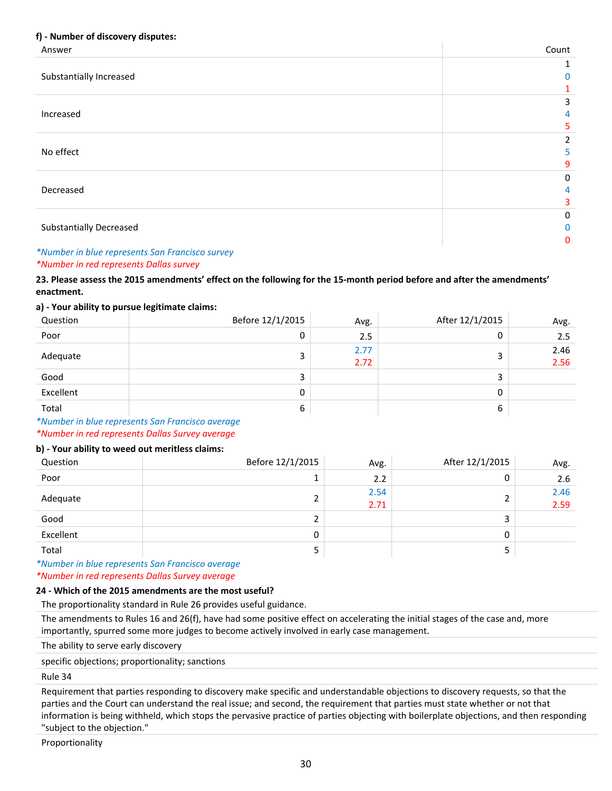### **f) ‐ Number of discovery disputes:**

| . .<br>Answer                  | Count        |
|--------------------------------|--------------|
|                                |              |
| Substantially Increased        | $\mathbf{0}$ |
|                                |              |
|                                | 3            |
| Increased                      | 4            |
|                                | 5.           |
|                                | 2            |
| No effect                      | 5            |
|                                | 9            |
|                                | 0            |
| Decreased                      | 4            |
|                                | 3            |
|                                | 0            |
| <b>Substantially Decreased</b> | $\mathbf 0$  |
|                                | $\mathbf{0}$ |

#### *\*Number in blue represents San Francisco survey \*Number in red represents Dallas survey*

### **23. Please assess the 2015 amendments' effect on the following for the 15‐month period before and after the amendments' enactment.**

#### **a) ‐ Your ability to pursue legitimate claims:**

| Question  | Before 12/1/2015 | Avg.         | After 12/1/2015 | Avg.         |
|-----------|------------------|--------------|-----------------|--------------|
| Poor      | 0                | 2.5          | 0               | 2.5          |
| Adequate  |                  | 2.77<br>2.72 | 3               | 2.46<br>2.56 |
| Good      |                  |              | 3               |              |
| Excellent | 0                |              | 0               |              |
| Total     | 6                |              | 6               |              |

*\*Number in blue represents San Francisco average \*Number in red represents Dallas Survey average*

### **b) ‐ Your ability to weed out meritless claims:**

| Question  | Before 12/1/2015 | Avg.         | After 12/1/2015 | Avg.         |
|-----------|------------------|--------------|-----------------|--------------|
| Poor      |                  | 2.2          | 0               | 2.6          |
| Adequate  |                  | 2.54<br>2.71 |                 | 2.46<br>2.59 |
| Good      |                  |              | 3               |              |
| Excellent |                  |              | 0               |              |
| Total     |                  |              |                 |              |

#### *\*Number in blue represents San Francisco average \*Number in red represents Dallas Survey average*

#### **24 ‐ Which of the 2015 amendments are the most useful?**

The proportionality standard in Rule 26 provides useful guidance.

The amendments to Rules 16 and 26(f), have had some positive effect on accelerating the initial stages of the case and, more importantly, spurred some more judges to become actively involved in early case management.

The ability to serve early discovery

specific objections; proportionality; sanctions

Rule 34

Requirement that parties responding to discovery make specific and understandable objections to discovery requests, so that the parties and the Court can understand the real issue; and second, the requirement that parties must state whether or not that information is being withheld, which stops the pervasive practice of parties objecting with boilerplate objections, and then responding "subject to the objection."

Proportionality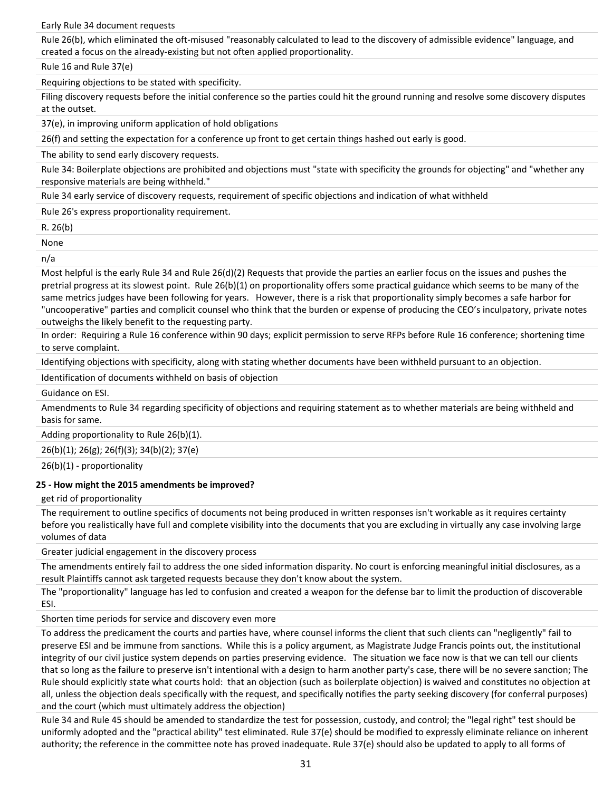Early Rule 34 document requests

Rule 26(b), which eliminated the oft-misused "reasonably calculated to lead to the discovery of admissible evidence" language, and created a focus on the already‐existing but not often applied proportionality.

Rule 16 and Rule 37(e)

Requiring objections to be stated with specificity.

Filing discovery requests before the initial conference so the parties could hit the ground running and resolve some discovery disputes at the outset.

37(e), in improving uniform application of hold obligations

26(f) and setting the expectation for a conference up front to get certain things hashed out early is good.

The ability to send early discovery requests.

Rule 34: Boilerplate objections are prohibited and objections must "state with specificity the grounds for objecting" and "whether any responsive materials are being withheld."

Rule 34 early service of discovery requests, requirement of specific objections and indication of what withheld

Rule 26's express proportionality requirement.

R. 26(b)

None

n/a

Most helpful is the early Rule 34 and Rule 26(d)(2) Requests that provide the parties an earlier focus on the issues and pushes the pretrial progress at its slowest point. Rule 26(b)(1) on proportionality offers some practical guidance which seems to be many of the same metrics judges have been following for years. However, there is a risk that proportionality simply becomes a safe harbor for "uncooperative" parties and complicit counsel who think that the burden or expense of producing the CEO's inculpatory, private notes outweighs the likely benefit to the requesting party.

In order: Requiring a Rule 16 conference within 90 days; explicit permission to serve RFPs before Rule 16 conference; shortening time to serve complaint.

Identifying objections with specificity, along with stating whether documents have been withheld pursuant to an objection.

Identification of documents withheld on basis of objection

Guidance on ESI.

Amendments to Rule 34 regarding specificity of objections and requiring statement as to whether materials are being withheld and basis for same.

Adding proportionality to Rule 26(b)(1).

26(b)(1); 26(g); 26(f)(3); 34(b)(2); 37(e)

26(b)(1) ‐ proportionality

### **25 ‐ How might the 2015 amendments be improved?**

get rid of proportionality

The requirement to outline specifics of documents not being produced in written responses isn't workable as it requires certainty before you realistically have full and complete visibility into the documents that you are excluding in virtually any case involving large volumes of data

Greater judicial engagement in the discovery process

The amendments entirely fail to address the one sided information disparity. No court is enforcing meaningful initial disclosures, as a result Plaintiffs cannot ask targeted requests because they don't know about the system.

The "proportionality" language has led to confusion and created a weapon for the defense bar to limit the production of discoverable ESI.

Shorten time periods for service and discovery even more

To address the predicament the courts and parties have, where counsel informs the client that such clients can "negligently" fail to preserve ESI and be immune from sanctions. While this is a policy argument, as Magistrate Judge Francis points out, the institutional integrity of our civil justice system depends on parties preserving evidence. The situation we face now is that we can tell our clients that so long as the failure to preserve isn't intentional with a design to harm another party's case, there will be no severe sanction; The Rule should explicitly state what courts hold: that an objection (such as boilerplate objection) is waived and constitutes no objection at all, unless the objection deals specifically with the request, and specifically notifies the party seeking discovery (for conferral purposes) and the court (which must ultimately address the objection)

Rule 34 and Rule 45 should be amended to standardize the test for possession, custody, and control; the "legal right" test should be uniformly adopted and the "practical ability" test eliminated. Rule 37(e) should be modified to expressly eliminate reliance on inherent authority; the reference in the committee note has proved inadequate. Rule 37(e) should also be updated to apply to all forms of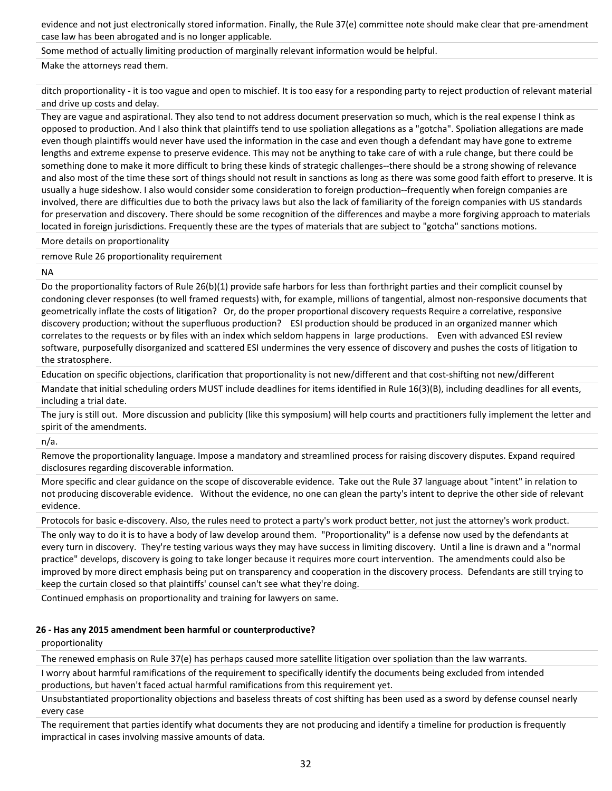evidence and not just electronically stored information. Finally, the Rule 37(e) committee note should make clear that pre‐amendment case law has been abrogated and is no longer applicable.

Some method of actually limiting production of marginally relevant information would be helpful.

Make the attorneys read them.

ditch proportionality ‐ it is too vague and open to mischief. It is too easy for a responding party to reject production of relevant material and drive up costs and delay.

They are vague and aspirational. They also tend to not address document preservation so much, which is the real expense I think as opposed to production. And I also think that plaintiffs tend to use spoliation allegations as a "gotcha". Spoliation allegations are made even though plaintiffs would never have used the information in the case and even though a defendant may have gone to extreme lengths and extreme expense to preserve evidence. This may not be anything to take care of with a rule change, but there could be something done to make it more difficult to bring these kinds of strategic challenges--there should be a strong showing of relevance and also most of the time these sort of things should not result in sanctions as long as there was some good faith effort to preserve. It is usually a huge sideshow. I also would consider some consideration to foreign production‐‐frequently when foreign companies are involved, there are difficulties due to both the privacy laws but also the lack of familiarity of the foreign companies with US standards for preservation and discovery. There should be some recognition of the differences and maybe a more forgiving approach to materials located in foreign jurisdictions. Frequently these are the types of materials that are subject to "gotcha" sanctions motions.

More details on proportionality

remove Rule 26 proportionality requirement

NA

Do the proportionality factors of Rule 26(b)(1) provide safe harbors for less than forthright parties and their complicit counsel by condoning clever responses (to well framed requests) with, for example, millions of tangential, almost non‐responsive documents that geometrically inflate the costs of litigation? Or, do the proper proportional discovery requests Require a correlative, responsive discovery production; without the superfluous production? ESI production should be produced in an organized manner which correlates to the requests or by files with an index which seldom happens in large productions. Even with advanced ESI review software, purposefully disorganized and scattered ESI undermines the very essence of discovery and pushes the costs of litigation to the stratosphere.

Education on specific objections, clarification that proportionality is not new/different and that cost‐shifting not new/different

Mandate that initial scheduling orders MUST include deadlines for items identified in Rule 16(3)(B), including deadlines for all events, including a trial date.

The jury is still out. More discussion and publicity (like this symposium) will help courts and practitioners fully implement the letter and spirit of the amendments.

n/a.

Remove the proportionality language. Impose a mandatory and streamlined process for raising discovery disputes. Expand required disclosures regarding discoverable information.

More specific and clear guidance on the scope of discoverable evidence. Take out the Rule 37 language about "intent" in relation to not producing discoverable evidence. Without the evidence, no one can glean the party's intent to deprive the other side of relevant evidence.

Protocols for basic e-discovery. Also, the rules need to protect a party's work product better, not just the attorney's work product.

The only way to do it is to have a body of law develop around them. "Proportionality" is a defense now used by the defendants at every turn in discovery. They're testing various ways they may have success in limiting discovery. Until a line is drawn and a "normal practice" develops, discovery is going to take longer because it requires more court intervention. The amendments could also be improved by more direct emphasis being put on transparency and cooperation in the discovery process. Defendants are still trying to keep the curtain closed so that plaintiffs' counsel can't see what they're doing.

Continued emphasis on proportionality and training for lawyers on same.

### **26 ‐ Has any 2015 amendment been harmful or counterproductive?**

proportionality

The renewed emphasis on Rule 37(e) has perhaps caused more satellite litigation over spoliation than the law warrants.

I worry about harmful ramifications of the requirement to specifically identify the documents being excluded from intended productions, but haven't faced actual harmful ramifications from this requirement yet.

Unsubstantiated proportionality objections and baseless threats of cost shifting has been used as a sword by defense counsel nearly every case

The requirement that parties identify what documents they are not producing and identify a timeline for production is frequently impractical in cases involving massive amounts of data.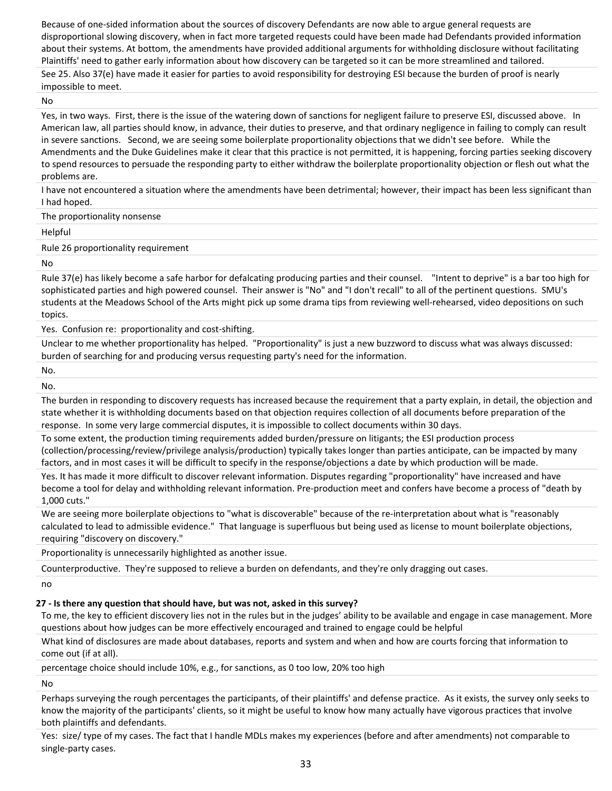Because of one-sided information about the sources of discovery Defendants are now able to argue general requests are disproportional slowing discovery, when in fact more targeted requests could have been made had Defendants provided information about their systems. At bottom, the amendments have provided additional arguments for withholding disclosure without facilitating Plaintiffs' need to gather early information about how discovery can be targeted so it can be more streamlined and tailored.

See 25. Also 37(e) have made it easier for parties to avoid responsibility for destroying ESI because the burden of proof is nearly impossible to meet.

No

Yes, in two ways. First, there is the issue of the watering down of sanctions for negligent failure to preserve ESI, discussed above. In American law, all parties should know, in advance, their duties to preserve, and that ordinary negligence in failing to comply can result in severe sanctions. Second, we are seeing some boilerplate proportionality objections that we didn't see before. While the Amendments and the Duke Guidelines make it clear that this practice is not permitted, it is happening, forcing parties seeking discovery to spend resources to persuade the responding party to either withdraw the boilerplate proportionality objection or flesh out what the problems are.

I have not encountered a situation where the amendments have been detrimental; however, their impact has been less significant than I had hoped.

The proportionality nonsense

Helpful

Rule 26 proportionality requirement

No

Rule 37(e) has likely become a safe harbor for defalcating producing parties and their counsel. "Intent to deprive" is a bar too high for sophisticated parties and high powered counsel. Their answer is "No" and "I don't recall" to all of the pertinent questions. SMU's students at the Meadows School of the Arts might pick up some drama tips from reviewing well‐rehearsed, video depositions on such topics.

Yes. Confusion re: proportionality and cost-shifting.

Unclear to me whether proportionality has helped. "Proportionality" is just a new buzzword to discuss what was always discussed: burden of searching for and producing versus requesting party's need for the information.

No.

No.

The burden in responding to discovery requests has increased because the requirement that a party explain, in detail, the objection and state whether it is withholding documents based on that objection requires collection of all documents before preparation of the response. In some very large commercial disputes, it is impossible to collect documents within 30 days.

To some extent, the production timing requirements added burden/pressure on litigants; the ESI production process (collection/processing/review/privilege analysis/production) typically takes longer than parties anticipate, can be impacted by many factors, and in most cases it will be difficult to specify in the response/objections a date by which production will be made.

Yes. It has made it more difficult to discover relevant information. Disputes regarding "proportionality" have increased and have become a tool for delay and withholding relevant information. Pre‐production meet and confers have become a process of "death by 1,000 cuts."

We are seeing more boilerplate objections to "what is discoverable" because of the re-interpretation about what is "reasonably calculated to lead to admissible evidence." That language is superfluous but being used as license to mount boilerplate objections, requiring "discovery on discovery."

Proportionality is unnecessarily highlighted as another issue.

Counterproductive. They're supposed to relieve a burden on defendants, and they're only dragging out cases.

no

**27 ‐ Is there any question that should have, but was not, asked in this survey?**

To me, the key to efficient discovery lies not in the rules but in the judges' ability to be available and engage in case management. More questions about how judges can be more effectively encouraged and trained to engage could be helpful

What kind of disclosures are made about databases, reports and system and when and how are courts forcing that information to come out (if at all).

percentage choice should include 10%, e.g., for sanctions, as 0 too low, 20% too high

No

Perhaps surveying the rough percentages the participants, of their plaintiffs' and defense practice. As it exists, the survey only seeks to know the majority of the participants' clients, so it might be useful to know how many actually have vigorous practices that involve both plaintiffs and defendants.

Yes: size/ type of my cases. The fact that I handle MDLs makes my experiences (before and after amendments) not comparable to single‐party cases.